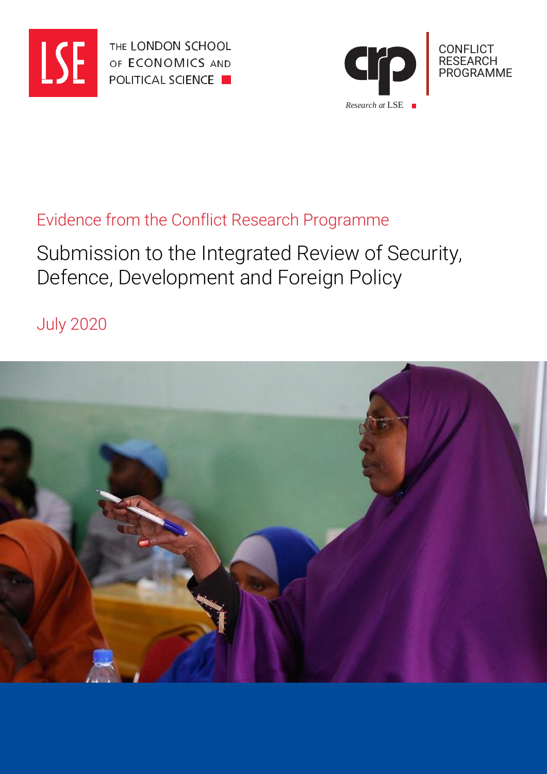

THE LONDON SCHOOL OF ECONOMICS AND **POLITICAL SCIENCE** 



### Evidence from the Conflict Research Programme

# Submission to the Integrated Review of Security, Defence, Development and Foreign Policy

July 2020

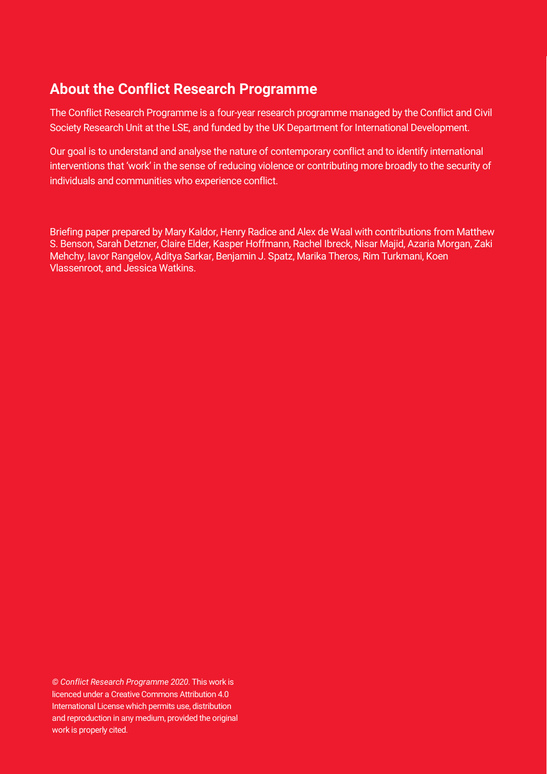### **About the Conflict Research Programme**

The Conflict Research Programme is a four-year research programme managed by the Conflict and Civil Society Research Unit at the LSE, and funded by the UK Department for International Development.

Our goal is to understand and analyse the nature of contemporary conflict and to identify international interventions that 'work' in the sense of reducing violence or contributing more broadly to the security of individuals and communities who experience conflict.

Briefing paper prepared by Mary Kaldor, Henry Radice and Alex de Waal with contributions from Matthew S. Benson, Sarah Detzner, Claire Elder, Kasper Hoffmann, Rachel Ibreck, Nisar Majid, Azaria Morgan, Zaki Mehchy, Iavor Rangelov, Aditya Sarkar, Benjamin J. Spatz, Marika Theros, Rim Turkmani, Koen Vlassenroot, and Jessica Watkins.

*© Conflict Research Programme 2020*. This work is licenced under a Creative Commons Attribution 4.0 International License which permits use, distribution and reproduction in any medium, provided the original work is properly cited.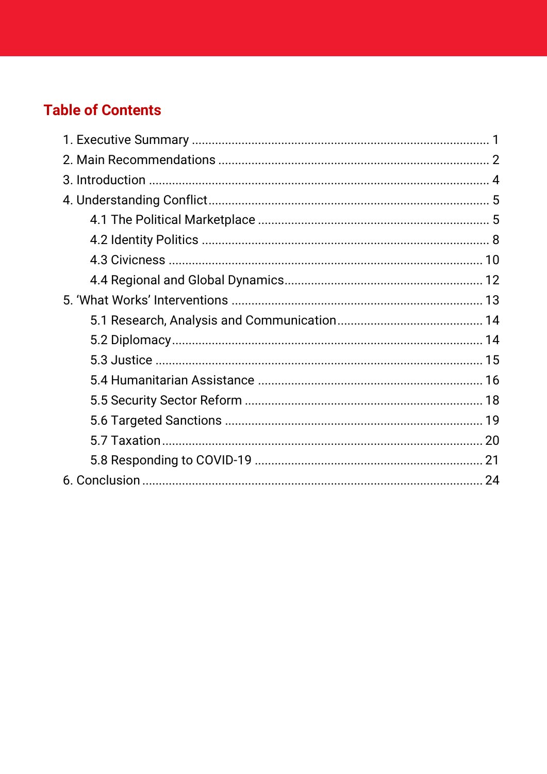## **Table of Contents**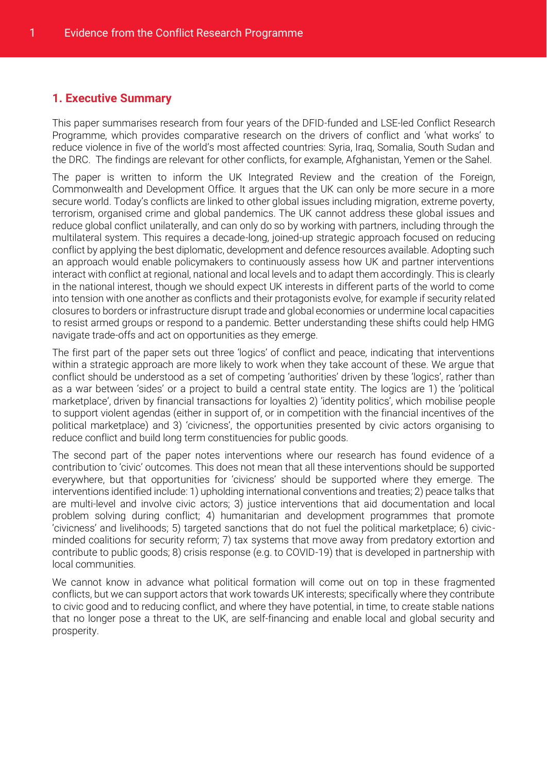#### <span id="page-3-0"></span>**1. Executive Summary**

This paper summarises research from four years of the DFID-funded and LSE-led Conflict Research Programme, which provides comparative research on the drivers of conflict and 'what works' to reduce violence in five of the world's most affected countries: Syria, Iraq, Somalia, South Sudan and the DRC. The findings are relevant for other conflicts, for example, Afghanistan, Yemen or the Sahel.

The paper is written to inform the UK Integrated Review and the creation of the Foreign, Commonwealth and Development Office. It argues that the UK can only be more secure in a more secure world. Today's conflicts are linked to other global issues including migration, extreme poverty, terrorism, organised crime and global pandemics. The UK cannot address these global issues and reduce global conflict unilaterally, and can only do so by working with partners, including through the multilateral system. This requires a decade-long, joined-up strategic approach focused on reducing conflict by applying the best diplomatic, development and defence resources available. Adopting such an approach would enable policymakers to continuously assess how UK and partner interventions interact with conflict at regional, national and local levels and to adapt them accordingly. This is clearly in the national interest, though we should expect UK interests in different parts of the world to come into tension with one another as conflicts and their protagonists evolve, for example if security related closures to borders or infrastructure disrupt trade and global economies or undermine local capacities to resist armed groups or respond to a pandemic. Better understanding these shifts could help HMG navigate trade-offs and act on opportunities as they emerge.

The first part of the paper sets out three 'logics' of conflict and peace, indicating that interventions within a strategic approach are more likely to work when they take account of these. We argue that conflict should be understood as a set of competing 'authorities' driven by these 'logics', rather than as a war between 'sides' or a project to build a central state entity. The logics are 1) the 'political marketplace', driven by financial transactions for loyalties 2) 'identity politics', which mobilise people to support violent agendas (either in support of, or in competition with the financial incentives of the political marketplace) and 3) 'civicness', the opportunities presented by civic actors organising to reduce conflict and build long term constituencies for public goods.

The second part of the paper notes interventions where our research has found evidence of a contribution to 'civic' outcomes. This does not mean that all these interventions should be supported everywhere, but that opportunities for 'civicness' should be supported where they emerge. The interventions identified include: 1) upholding international conventions and treaties; 2) peace talks that are multi-level and involve civic actors; 3) justice interventions that aid documentation and local problem solving during conflict; 4) humanitarian and development programmes that promote 'civicness' and livelihoods; 5) targeted sanctions that do not fuel the political marketplace; 6) civicminded coalitions for security reform; 7) tax systems that move away from predatory extortion and contribute to public goods; 8) crisis response (e.g. to COVID-19) that is developed in partnership with local communities.

We cannot know in advance what political formation will come out on top in these fragmented conflicts, but we can support actors that work towards UK interests; specifically where they contribute to civic good and to reducing conflict, and where they have potential, in time, to create stable nations that no longer pose a threat to the UK, are self-financing and enable local and global security and prosperity.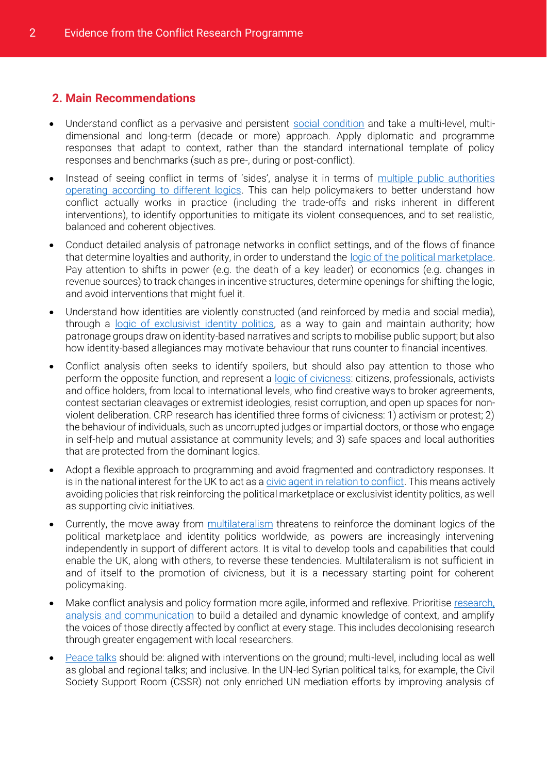#### <span id="page-4-0"></span>**2. Main Recommendations**

- Understand conflict as a pervasive and persistent [social condition](#page-6-1) and take a multi-level, multidimensional and long-term (decade or more) approach. Apply diplomatic and programme responses that adapt to context, rather than the standard international template of policy responses and benchmarks (such as pre-, during or post-conflict).
- Instead of seeing conflict in terms of 'sides', analyse it in terms of [multiple public authorities](#page-7-2)  [operating according to different logics.](#page-7-2) This can help policymakers to better understand how conflict actually works in practice (including the trade-offs and risks inherent in different interventions), to identify opportunities to mitigate its violent consequences, and to set realistic, balanced and coherent objectives.
- Conduct detailed analysis of patronage networks in conflict settings, and of the flows of finance that determine loyalties and authority, in order to understand the [logic of the political marketplace.](#page-7-1) Pay attention to shifts in power (e.g. the death of a key leader) or economics (e.g. changes in revenue sources) to track changes in incentive structures, determine openings for shifting the logic, and avoid interventions that might fuel it.
- Understand how identities are violently constructed (and reinforced by media and social media), through a [logic of exclusivist identity politics,](#page-10-1) as a way to gain and maintain authority; how patronage groups draw on identity-based narratives and scripts to mobilise public support; but also how identity-based allegiances may motivate behaviour that runs counter to financial incentives.
- Conflict analysis often seeks to identify spoilers, but should also pay attention to those who perform the opposite function, and represent a [logic of civicness:](#page-12-0) citizens, professionals, activists and office holders, from local to international levels, who find creative ways to broker agreements, contest sectarian cleavages or extremist ideologies, resist corruption, and open up spaces for nonviolent deliberation. CRP research has identified three forms of civicness: 1) activism or protest; 2) the behaviour of individuals, such as uncorrupted judges or impartial doctors, or those who engage in self-help and mutual assistance at community levels; and 3) safe spaces and local authorities that are protected from the dominant logics.
- Adopt a flexible approach to programming and avoid fragmented and contradictory responses. It is in the national interest for the UK to act as a [civic agent in relation to conflict.](#page-15-1) This means actively avoiding policies that risk reinforcing the political marketplace or exclusivist identity politics, as well as supporting civic initiatives.
- Currently, the move away from [multilateralism](#page-6-2) threatens to reinforce the dominant logics of the political marketplace and identity politics worldwide, as powers are increasingly intervening independently in support of different actors. It is vital to develop tools and capabilities that could enable the UK, along with others, to reverse these tendencies. Multilateralism is not sufficient in and of itself to the promotion of civicness, but it is a necessary starting point for coherent policymaking.
- Make conflict analysis and policy formation more agile, informed and reflexive. Prioritise [research,](#page-16-0)  [analysis and communication](#page-16-0) to build a detailed and dynamic knowledge of context, and amplify the voices of those directly affected by conflict at every stage. This includes decolonising research through greater engagement with local researchers.
- [Peace talks](#page-16-1) should be: aligned with interventions on the ground; multi-level, including local as well as global and regional talks; and inclusive. In the UN-led Syrian political talks, for example, the Civil Society Support Room (CSSR) not only enriched UN mediation efforts by improving analysis of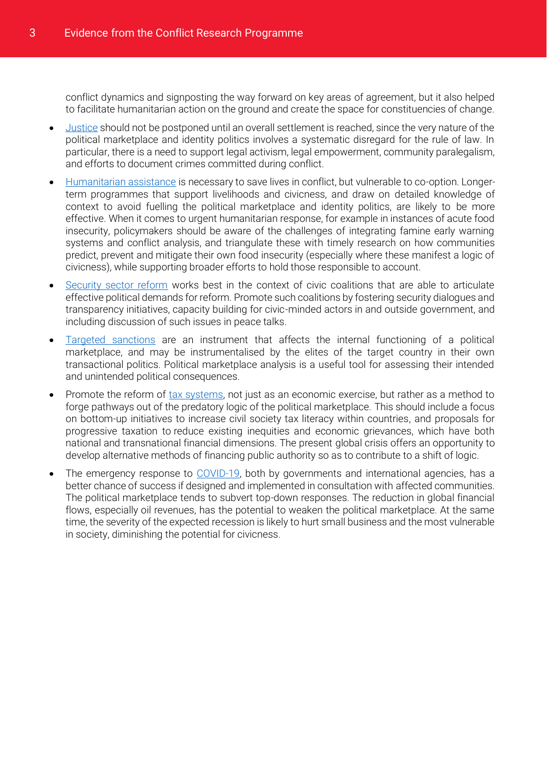conflict dynamics and signposting the way forward on key areas of agreement, but it also helped to facilitate humanitarian action on the ground and create the space for constituencies of change.

- [Justice](#page-17-0) should not be postponed until an overall settlement is reached, since the very nature of the political marketplace and identity politics involves a systematic disregard for the rule of law. In particular, there is a need to support legal activism, legal empowerment, community paralegalism, and efforts to document crimes committed during conflict.
- [Humanitarian assistance](#page-18-0) is necessary to save lives in conflict, but vulnerable to co-option. Longerterm programmes that support livelihoods and civicness, and draw on detailed knowledge of context to avoid fuelling the political marketplace and identity politics, are likely to be more effective. When it comes to urgent humanitarian response, for example in instances of acute food insecurity, policymakers should be aware of the challenges of integrating famine early warning systems and conflict analysis, and triangulate these with timely research on how communities predict, prevent and mitigate their own food insecurity (especially where these manifest a logic of civicness), while supporting broader efforts to hold those responsible to account.
- [Security sector reform](#page-20-0) works best in the context of civic coalitions that are able to articulate effective political demands for reform. Promote such coalitions by fostering security dialogues and transparency initiatives, capacity building for civic-minded actors in and outside government, and including discussion of such issues in peace talks.
- [Targeted sanctions](#page-21-0) are an instrument that affects the internal functioning of a political marketplace, and may be instrumentalised by the elites of the target country in their own transactional politics. Political marketplace analysis is a useful tool for assessing their intended and unintended political consequences.
- Promote the reform of [tax systems,](#page-22-0) not just as an economic exercise, but rather as a method to forge pathways out of the predatory logic of the political marketplace. This should include a focus on bottom-up initiatives to increase civil society tax literacy within countries, and proposals for progressive taxation to reduce existing inequities and economic grievances, which have both national and transnational financial dimensions. The present global crisis offers an opportunity to develop alternative methods of financing public authority so as to contribute to a shift of logic.
- The emergency response to [COVID-19,](#page-23-0) both by governments and international agencies, has a better chance of success if designed and implemented in consultation with affected communities. The political marketplace tends to subvert top-down responses. The reduction in global financial flows, especially oil revenues, has the potential to weaken the political marketplace. At the same time, the severity of the expected recession is likely to hurt small business and the most vulnerable in society, diminishing the potential for civicness.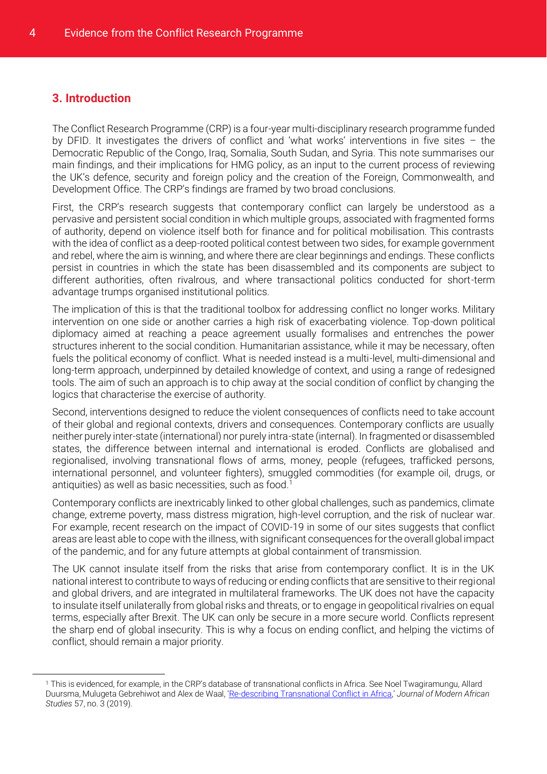#### <span id="page-6-0"></span>**3. Introduction**

 $\overline{a}$ 

The Conflict Research Programme (CRP) is a four-year multi-disciplinary research programme funded by DFID. It investigates the drivers of conflict and 'what works' interventions in five sites – the Democratic Republic of the Congo, Iraq, Somalia, South Sudan, and Syria. This note summarises our main findings, and their implications for HMG policy, as an input to the current process of reviewing the UK's defence, security and foreign policy and the creation of the Foreign, Commonwealth, and Development Office. The CRP's findings are framed by two broad conclusions.

<span id="page-6-1"></span>First, the CRP's research suggests that contemporary conflict can largely be understood as a pervasive and persistent social condition in which multiple groups, associated with fragmented forms of authority, depend on violence itself both for finance and for political mobilisation. This contrasts with the idea of conflict as a deep-rooted political contest between two sides, for example government and rebel, where the aim is winning, and where there are clear beginnings and endings. These conflicts persist in countries in which the state has been disassembled and its components are subject to different authorities, often rivalrous, and where transactional politics conducted for short-term advantage trumps organised institutional politics.

The implication of this is that the traditional toolbox for addressing conflict no longer works. Military intervention on one side or another carries a high risk of exacerbating violence. Top-down political diplomacy aimed at reaching a peace agreement usually formalises and entrenches the power structures inherent to the social condition. Humanitarian assistance, while it may be necessary, often fuels the political economy of conflict. What is needed instead is a multi-level, multi-dimensional and long-term approach, underpinned by detailed knowledge of context, and using a range of redesigned tools. The aim of such an approach is to chip away at the social condition of conflict by changing the logics that characterise the exercise of authority.

<span id="page-6-2"></span>Second, interventions designed to reduce the violent consequences of conflicts need to take account of their global and regional contexts, drivers and consequences. Contemporary conflicts are usually neither purely inter-state (international) nor purely intra-state (internal). In fragmented or disassembled states, the difference between internal and international is eroded. Conflicts are globalised and regionalised, involving transnational flows of arms, money, people (refugees, trafficked persons, international personnel, and volunteer fighters), smuggled commodities (for example oil, drugs, or antiquities) as well as basic necessities, such as food.<sup>1</sup>

Contemporary conflicts are inextricably linked to other global challenges, such as pandemics, climate change, extreme poverty, mass distress migration, high-level corruption, and the risk of nuclear war. For example, recent research on the impact of COVID-19 in some of our sites suggests that conflict areas are least able to cope with the illness, with significant consequences for the overall global impact of the pandemic, and for any future attempts at global containment of transmission.

The UK cannot insulate itself from the risks that arise from contemporary conflict. It is in the UK national interest to contribute to ways of reducing or ending conflicts that are sensitive to their regional and global drivers, and are integrated in multilateral frameworks. The UK does not have the capacity to insulate itself unilaterally from global risks and threats, or to engage in geopolitical rivalries on equal terms, especially after Brexit. The UK can only be secure in a more secure world. Conflicts represent the sharp end of global insecurity. This is why a focus on ending conflict, and helping the victims of conflict, should remain a major priority.

<sup>1</sup> This is evidenced, for example, in the CRP's database of transnational conflicts in Africa. See Noel Twagiramungu, Allard Duursma, Mulugeta Gebrehiwot and Alex de Waal, '[Re-describing Transnational Conflict in Africa](https://www.cambridge.org/core/services/aop-cambridge-core/content/view/FF6C2554F649469636A7083E507DB393/S0022278X19000107a.pdf/redescribing_transnational_conflict_in_africa.pdf),' *Journal of Modern African Studies* 57, no. 3 (2019).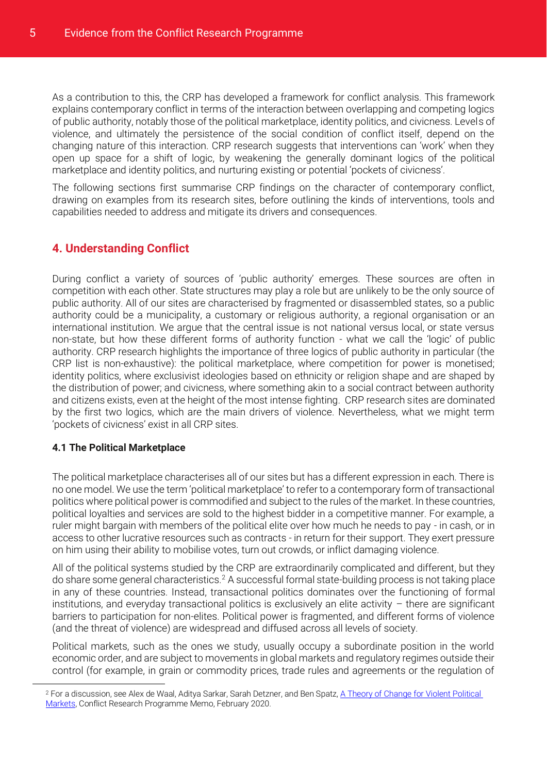As a contribution to this, the CRP has developed a framework for conflict analysis. This framework explains contemporary conflict in terms of the interaction between overlapping and competing logics of public authority, notably those of the political marketplace, identity politics, and civicness. Levels of violence, and ultimately the persistence of the social condition of conflict itself, depend on the changing nature of this interaction. CRP research suggests that interventions can 'work' when they open up space for a shift of logic, by weakening the generally dominant logics of the political marketplace and identity politics, and nurturing existing or potential 'pockets of civicness'.

The following sections first summarise CRP findings on the character of contemporary conflict, drawing on examples from its research sites, before outlining the kinds of interventions, tools and capabilities needed to address and mitigate its drivers and consequences.

#### <span id="page-7-0"></span>**4. Understanding Conflict**

<span id="page-7-2"></span>During conflict a variety of sources of 'public authority' emerges. These sources are often in competition with each other. State structures may play a role but are unlikely to be the only source of public authority. All of our sites are characterised by fragmented or disassembled states, so a public authority could be a municipality, a customary or religious authority, a regional organisation or an international institution. We argue that the central issue is not national versus local, or state versus non-state, but how these different forms of authority function - what we call the 'logic' of public authority. CRP research highlights the importance of three logics of public authority in particular (the CRP list is non-exhaustive): the political marketplace, where competition for power is monetised; identity politics, where exclusivist ideologies based on ethnicity or religion shape and are shaped by the distribution of power; and civicness, where something akin to a social contract between authority and citizens exists, even at the height of the most intense fighting. CRP research sites are dominated by the first two logics, which are the main drivers of violence. Nevertheless, what we might term 'pockets of civicness' exist in all CRP sites.

#### <span id="page-7-1"></span>**4.1 The Political Marketplace**

 $\overline{a}$ 

The political marketplace characterises all of our sites but has a different expression in each. There is no one model. We use the term 'political marketplace' to refer to a contemporary form of transactional politics where political power is commodified and subject to the rules of the market. In these countries, political loyalties and services are sold to the highest bidder in a competitive manner. For example, a ruler might bargain with members of the political elite over how much he needs to pay - in cash, or in access to other lucrative resources such as contracts - in return for their support. They exert pressure on him using their ability to mobilise votes, turn out crowds, or inflict damaging violence.

All of the political systems studied by the CRP are extraordinarily complicated and different, but they do share some general characteristics.<sup>2</sup> A successful formal state-building process is not taking place in any of these countries. Instead, transactional politics dominates over the functioning of formal institutions, and everyday transactional politics is exclusively an elite activity – there are significant barriers to participation for non-elites. Political power is fragmented, and different forms of violence (and the threat of violence) are widespread and diffused across all levels of society.

Political markets, such as the ones we study, usually occupy a subordinate position in the world economic order, and are subject to movements in global markets and regulatory regimes outside their control (for example, in grain or commodity prices, trade rules and agreements or the regulation of

<sup>2</sup> For a discussion, see Alex de Waal, Aditya Sarkar, Sarah Detzner, and Ben Spatz[, A Theory of Change for Violent Political](http://www.lse.ac.uk/international-development/Assets/Documents/ccs-research-unit/Conflict-Research-Programme/crp-memos/PMF-TOC-Feb-2020.pdf)  [Markets,](http://www.lse.ac.uk/international-development/Assets/Documents/ccs-research-unit/Conflict-Research-Programme/crp-memos/PMF-TOC-Feb-2020.pdf) Conflict Research Programme Memo, February 2020.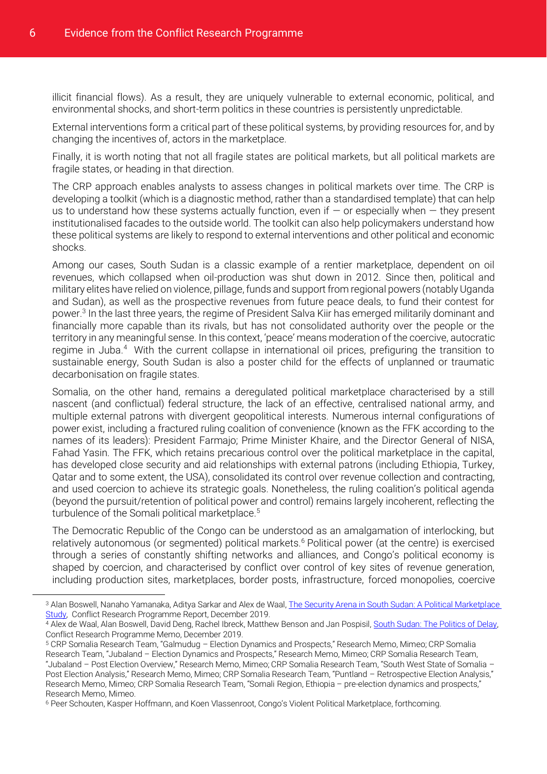illicit financial flows). As a result, they are uniquely vulnerable to external economic, political, and environmental shocks, and short-term politics in these countries is persistently unpredictable.

External interventions form a critical part of these political systems, by providing resources for, and by changing the incentives of, actors in the marketplace.

Finally, it is worth noting that not all fragile states are political markets, but all political markets are fragile states, or heading in that direction.

The CRP approach enables analysts to assess changes in political markets over time. The CRP is developing a toolkit (which is a diagnostic method, rather than a standardised template) that can help us to understand how these systems actually function, even if  $-$  or especially when  $-$  they present institutionalised facades to the outside world. The toolkit can also help policymakers understand how these political systems are likely to respond to external interventions and other political and economic shocks.

Among our cases, South Sudan is a classic example of a rentier marketplace, dependent on oil revenues, which collapsed when oil-production was shut down in 2012. Since then, political and military elites have relied on violence, pillage, funds and support from regional powers (notably Uganda and Sudan), as well as the prospective revenues from future peace deals, to fund their contest for power.<sup>3</sup> In the last three years, the regime of President Salva Kiir has emerged militarily dominant and financially more capable than its rivals, but has not consolidated authority over the people or the territory in any meaningful sense. In this context, 'peace' means moderation of the coercive, autocratic regime in Juba.<sup>4</sup> With the current collapse in international oil prices, prefiguring the transition to sustainable energy, South Sudan is also a poster child for the effects of unplanned or traumatic decarbonisation on fragile states.

Somalia, on the other hand, remains a deregulated political marketplace characterised by a still nascent (and conflictual) federal structure, the lack of an effective, centralised national army, and multiple external patrons with divergent geopolitical interests. Numerous internal configurations of power exist, including a fractured ruling coalition of convenience (known as the FFK according to the names of its leaders): President Farmajo; Prime Minister Khaire, and the Director General of NISA, Fahad Yasin. The FFK, which retains precarious control over the political marketplace in the capital, has developed close security and aid relationships with external patrons (including Ethiopia, Turkey, Qatar and to some extent, the USA), consolidated its control over revenue collection and contracting, and used coercion to achieve its strategic goals. Nonetheless, the ruling coalition's political agenda (beyond the pursuit/retention of political power and control) remains largely incoherent, reflecting the turbulence of the Somali political marketplace.<sup>5</sup>

The Democratic Republic of the Congo can be understood as an amalgamation of interlocking, but relatively autonomous (or segmented) political markets.<sup>6</sup> Political power (at the centre) is exercised through a series of constantly shifting networks and alliances, and Congo's political economy is shaped by coercion, and characterised by conflict over control of key sites of revenue generation, including production sites, marketplaces, border posts, infrastructure, forced monopolies, coercive

<sup>3</sup> Alan Boswell, Nanaho Yamanaka, Aditya Sarkar and Alex de Waal, The Security Arena in South Sudan: A Political Marketplace [Study,](https://sites.tufts.edu/wpf/files/2019/12/SSD-PMF-Case-Study-final-241119-d3.pdf) Conflict Research Programme Report, December 2019.

<sup>4</sup> Alex de Waal, Alan Boswell, David Deng, Rachel Ibreck, Matthew Benson and Jan Pospisil[, South Sudan: The Politics of Delay,](http://www.lse.ac.uk/international-development/Assets/Documents/ccs-research-unit/Conflict-Research-Programme/crp-memos/Politics-of-Delay-South-Sudan-3Dec19.pdf)  Conflict Research Programme Memo, December 2019.

<sup>5</sup> CRP Somalia Research Team, "Galmudug – Election Dynamics and Prospects," Research Memo, Mimeo; CRP Somalia Research Team, "Jubaland – Election Dynamics and Prospects," Research Memo, Mimeo; CRP Somalia Research Team, "Jubaland – Post Election Overview," Research Memo, Mimeo; CRP Somalia Research Team, "South West State of Somalia – Post Election Analysis," Research Memo, Mimeo; CRP Somalia Research Team, "Puntland – Retrospective Election Analysis," Research Memo, Mimeo; CRP Somalia Research Team, "Somali Region, Ethiopia – pre-election dynamics and prospects," Research Memo, Mimeo.

<sup>6</sup> Peer Schouten, Kasper Hoffmann, and Koen Vlassenroot, Congo's Violent Political Marketplace, forthcoming.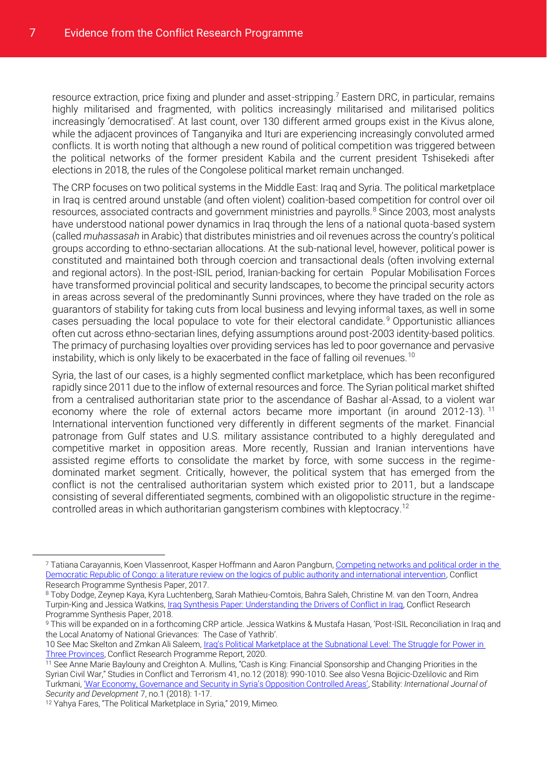resource extraction, price fixing and plunder and asset-stripping.<sup>7</sup> Eastern DRC, in particular, remains highly militarised and fragmented, with politics increasingly militarised and militarised politics increasingly 'democratised'. At last count, over 130 different armed groups exist in the Kivus alone, while the adjacent provinces of Tanganyika and Ituri are experiencing increasingly convoluted armed conflicts. It is worth noting that although a new round of political competition was triggered between the political networks of the former president Kabila and the current president Tshisekedi after elections in 2018, the rules of the Congolese political market remain unchanged.

The CRP focuses on two political systems in the Middle East: Iraq and Syria. The political marketplace in Iraq is centred around unstable (and often violent) coalition-based competition for control over oil resources, associated contracts and government ministries and payrolls.<sup>8</sup> Since 2003, most analysts have understood national power dynamics in Iraq through the lens of a national quota-based system (called *muhassasah* in Arabic) that distributes ministries and oil revenues across the country's political groups according to ethno-sectarian allocations. At the sub-national level, however, political power is constituted and maintained both through coercion and transactional deals (often involving external and regional actors). In the post-ISIL period, Iranian-backing for certain Popular Mobilisation Forces have transformed provincial political and security landscapes, to become the principal security actors in areas across several of the predominantly Sunni provinces, where they have traded on the role as guarantors of stability for taking cuts from local business and levying informal taxes, as well in some cases persuading the local populace to vote for their electoral candidate. <sup>9</sup> Opportunistic alliances often cut across ethno-sectarian lines, defying assumptions around post-2003 identity-based politics. The primacy of purchasing loyalties over providing services has led to poor governance and pervasive instability, which is only likely to be exacerbated in the face of falling oil revenues.<sup>10</sup>

Syria, the last of our cases, is a highly segmented conflict marketplace, which has been reconfigured rapidly since 2011 due to the inflow of external resources and force. The Syrian political market shifted from a centralised authoritarian state prior to the ascendance of Bashar al-Assad, to a violent war economy where the role of external actors became more important (in around 2012-13). <sup>11</sup> International intervention functioned very differently in different segments of the market. Financial patronage from Gulf states and U.S. military assistance contributed to a highly deregulated and competitive market in opposition areas. More recently, Russian and Iranian interventions have assisted regime efforts to consolidate the market by force, with some success in the regimedominated market segment. Critically, however, the political system that has emerged from the conflict is not the centralised authoritarian system which existed prior to 2011, but a landscape consisting of several differentiated segments, combined with an oligopolistic structure in the regimecontrolled areas in which authoritarian gangsterism combines with kleptocracy.<sup>12</sup>

<sup>7</sup> Tatiana Carayannis, Koen Vlassenroot, Kasper Hoffmann and Aaron Pangburn[, Competing networks and political order in the](http://www.lse.ac.uk/international-development/Assets/Documents/ccs-research-unit/Conflict-Research-Programme/crp-synthesis-paper/drc-synthesis-paper-2018-final.pdf)  [Democratic Republic of Congo: a literature review on the logics of public authority and international intervention,](http://www.lse.ac.uk/international-development/Assets/Documents/ccs-research-unit/Conflict-Research-Programme/crp-synthesis-paper/drc-synthesis-paper-2018-final.pdf) Conflict Research Programme Synthesis Paper, 2017.

<sup>8</sup> Toby Dodge, Zeynep Kaya, Kyra Luchtenberg, Sarah Mathieu-Comtois, Bahra Saleh, Christine M. van den Toorn, Andrea Turpin-King and Jessica Watkins, Iraq Synthesis [Paper: Understanding the Drivers of Conflict in Iraq,](http://www.lse.ac.uk/international-development/Assets/Documents/ccs-research-unit/Conflict-Research-Programme/crp-synthesis-paper/Iraq-synthesis-paper-understanding-the-drivers-2018.pdf) Conflict Research Programme Synthesis Paper, 2018.

<sup>9</sup> This will be expanded on in a forthcoming CRP article. Jessica Watkins & Mustafa Hasan, 'Post-ISIL Reconciliation in Iraq and the Local Anatomy of National Grievances: The Case of Yathrib'.

<sup>10</sup> See Mac Skelton and Zmkan Ali Saleem, Iraq's Political Marketplace at the Subnational Level: The Struggle for Power in [Three Provinces,](http://eprints.lse.ac.uk/105184/3/Iraq_s_Political_Marketplace.pdf) Conflict Research Programme Report, 2020.

<sup>11</sup> See Anne Marie Baylouny and Creighton A. Mullins, "Cash is King: Financial Sponsorship and Changing Priorities in the Syrian Civil War," Studies in Conflict and Terrorism 41, no.12 (2018): 990-1010. See also Vesna Bojicic-Dzelilovic and Rim Turkmani, ['War Economy, Governance and Security in Syria's Opposition Controlled Areas'](https://www.stabilityjournal.org/articles/10.5334/sta.569/), Stability: *International Journal of Security and Development* 7, no.1 (2018): 1-17.

<sup>12</sup> Yahya Fares, "The Political Marketplace in Syria," 2019, Mimeo.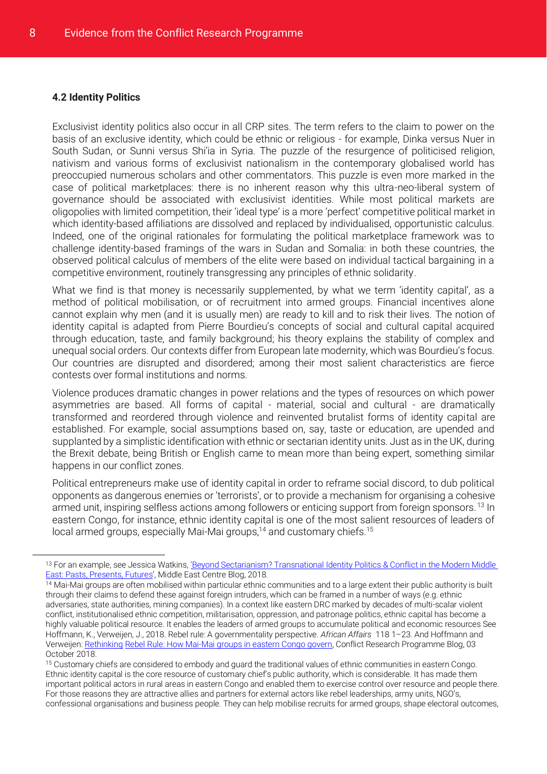#### <span id="page-10-1"></span><span id="page-10-0"></span>**4.2 Identity Politics**

Exclusivist identity politics also occur in all CRP sites. The term refers to the claim to power on the basis of an exclusive identity, which could be ethnic or religious - for example, Dinka versus Nuer in South Sudan, or Sunni versus Shi'ia in Syria. The puzzle of the resurgence of politicised religion, nativism and various forms of exclusivist nationalism in the contemporary globalised world has preoccupied numerous scholars and other commentators. This puzzle is even more marked in the case of political marketplaces: there is no inherent reason why this ultra-neo-liberal system of governance should be associated with exclusivist identities. While most political markets are oligopolies with limited competition, their 'ideal type' is a more 'perfect' competitive political market in which identity-based affiliations are dissolved and replaced by individualised, opportunistic calculus. Indeed, one of the original rationales for formulating the political marketplace framework was to challenge identity-based framings of the wars in Sudan and Somalia: in both these countries, the observed political calculus of members of the elite were based on individual tactical bargaining in a competitive environment, routinely transgressing any principles of ethnic solidarity.

What we find is that money is necessarily supplemented, by what we term 'identity capital', as a method of political mobilisation, or of recruitment into armed groups. Financial incentives alone cannot explain why men (and it is usually men) are ready to kill and to risk their lives. The notion of identity capital is adapted from Pierre Bourdieu's concepts of social and cultural capital acquired through education, taste, and family background; his theory explains the stability of complex and unequal social orders. Our contexts differ from European late modernity, which was Bourdieu's focus. Our countries are disrupted and disordered; among their most salient characteristics are fierce contests over formal institutions and norms.

Violence produces dramatic changes in power relations and the types of resources on which power asymmetries are based. All forms of capital - material, social and cultural - are dramatically transformed and reordered through violence and reinvented brutalist forms of identity capital are established. For example, social assumptions based on, say, taste or education, are upended and supplanted by a simplistic identification with ethnic or sectarian identity units. Just as in the UK, during the Brexit debate, being British or English came to mean more than being expert, something similar happens in our conflict zones.

Political entrepreneurs make use of identity capital in order to reframe social discord, to dub political opponents as dangerous enemies or 'terrorists', or to provide a mechanism for organising a cohesive armed unit, inspiring selfless actions among followers or enticing support from foreign sponsors. <sup>13</sup> In eastern Congo, for instance, ethnic identity capital is one of the most salient resources of leaders of local armed groups, especially Mai-Mai groups,<sup>14</sup> and customary chiefs.<sup>15</sup>

<sup>13</sup> For an example, see Jessica Watkins, 'Beyond Sectarianism? Transnational Identity Politics & Conflict in the Modern Middle [East: Pasts, Presents, Futures](https://blogs.lse.ac.uk/crp/2018/11/07/beyond-sectarianism-transnational-identity-politics-conflict-in-the-modern-middleeast/)', Middle East Centre Blog, 2018.

<sup>14</sup> Mai-Mai groups are often mobilised within particular ethnic communities and to a large extent their public authority is built through their claims to defend these against foreign intruders, which can be framed in a number of ways (e.g. ethnic adversaries, state authorities, mining companies). In a context like eastern DRC marked by decades of multi-scalar violent conflict, institutionalised ethnic competition, militarisation, oppression, and patronage politics, ethnic capital has become a highly valuable political resource. It enables the leaders of armed groups to accumulate political and economic resources See Hoffmann, K., Verweijen, J., 2018. Rebel rule: A governmentality perspective. *African Affairs* 118 1–23. And Hoffmann and Verweijen[: Rethinking](https://blogs.lse.ac.uk/crp/2018/10/03/mai-mai-groups-in-eastern-congo/) [Rebel Rule: How Mai-Mai groups in eastern Congo govern,](https://blogs.lse.ac.uk/crp/2018/10/03/mai-mai-groups-in-eastern-congo/) Conflict Research Programme Blog, 03 October 2018.

<sup>15</sup> Customary chiefs are considered to embody and guard the traditional values of ethnic communities in eastern Congo. Ethnic identity capital is the core resource of customary chief's public authority, which is considerable. It has made them important political actors in rural areas in eastern Congo and enabled them to exercise control over resource and people there. For those reasons they are attractive allies and partners for external actors like rebel leaderships, army units, NGO's, confessional organisations and business people. They can help mobilise recruits for armed groups, shape electoral outcomes,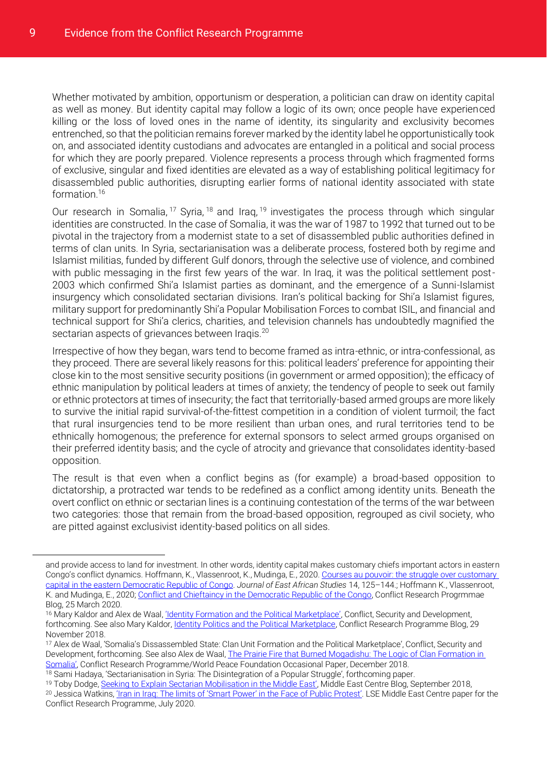Whether motivated by ambition, opportunism or desperation, a politician can draw on identity capital as well as money. But identity capital may follow a logic of its own; once people have experienced killing or the loss of loved ones in the name of identity, its singularity and exclusivity becomes entrenched, so that the politician remains forever marked by the identity label he opportunistically took on, and associated identity custodians and advocates are entangled in a political and social process for which they are poorly prepared. Violence represents a process through which fragmented forms of exclusive, singular and fixed identities are elevated as a way of establishing political legitimacy for disassembled public authorities, disrupting earlier forms of national identity associated with state formation.<sup>16</sup>

Our research in Somalia, <sup>17</sup> Syria, <sup>18</sup> and Iraq, <sup>19</sup> investigates the process through which singular identities are constructed. In the case of Somalia, it was the war of 1987 to 1992 that turned out to be pivotal in the trajectory from a modernist state to a set of disassembled public authorities defined in terms of clan units. In Syria, sectarianisation was a deliberate process, fostered both by regime and Islamist militias, funded by different Gulf donors, through the selective use of violence, and combined with public messaging in the first few years of the war. In Iraq, it was the political settlement post-2003 which confirmed Shi'a Islamist parties as dominant, and the emergence of a Sunni-Islamist insurgency which consolidated sectarian divisions. Iran's political backing for Shi'a Islamist figures, military support for predominantly Shi'a Popular Mobilisation Forces to combat ISIL, and financial and technical support for Shi'a clerics, charities, and television channels has undoubtedly magnified the sectarian aspects of grievances between Iraqis.<sup>20</sup>

Irrespective of how they began, wars tend to become framed as intra-ethnic, or intra-confessional, as they proceed. There are several likely reasons for this: political leaders' preference for appointing their close kin to the most sensitive security positions (in government or armed opposition); the efficacy of ethnic manipulation by political leaders at times of anxiety; the tendency of people to seek out family or ethnic protectors at times of insecurity; the fact that territorially-based armed groups are more likely to survive the initial rapid survival-of-the-fittest competition in a condition of violent turmoil; the fact that rural insurgencies tend to be more resilient than urban ones, and rural territories tend to be ethnically homogenous; the preference for external sponsors to select armed groups organised on their preferred identity basis; and the cycle of atrocity and grievance that consolidates identity-based opposition.

The result is that even when a conflict begins as (for example) a broad-based opposition to dictatorship, a protracted war tends to be redefined as a conflict among identity units. Beneath the overt conflict on ethnic or sectarian lines is a continuing contestation of the terms of the war between two categories: those that remain from the broad-based opposition, regrouped as civil society, who are pitted against exclusivist identity-based politics on all sides.

and provide access to land for investment. In other words, identity capital makes customary chiefs important actors in eastern Congo's conflict dynamics. Hoffmann, K., Vlassenroot, K., Mudinga, E., 2020. Courses au pouvoir: the struggle over customary [capital in the eastern Democratic Republic of Congo.](https://doi.org/10.1080/17531055.2019.1711321) *Journal of East African Studies* 14, 125–144.; Hoffmann K., Vlassenroot, K. and Mudinga, E., 2020[; Conflict and Chieftaincy in the Democratic Republic of the Congo,](https://blogs.lse.ac.uk/crp/2020/03/25/conflict-and-chieftaincy-drc/) Conflict Research Progrmmae Blog, 25 March 2020.

<sup>&</sup>lt;sup>16</sup> Mary Kaldor and Alex de Waal, <u>['Identity Formation and the Political Marketplace'](https://blogs.lse.ac.uk/crp/2018/11/29/identity-politics-and-the-political-marketplace/)</u>, Conflict, Security and Development, forthcoming. See also Mary Kaldor, <u>Identity Politics and the Political Marketplace</u>, Conflict Research Programme Blog, 29 November 2018.

<sup>17</sup> Alex de Waal, 'Somalia's Dissassembled State: Clan Unit Formation and the Political Marketplace', Conflict, Security and Development, forthcoming. See also Alex de Waal, The Prairie Fire that Burned Mogadishu: The Logic of Clan Formation in [Somalia'](http://eprints.lse.ac.uk/100258/1/The_Prarie_Fire_that_burned_Mogadishu_final_1.pdf), Conflict Research Programme/World Peace Foundation Occasional Paper, December 2018.

<sup>&</sup>lt;sup>18</sup> Sami Hadaya, 'Sectarianisation in Syria: The Disintegration of a Popular Struggle', forthcoming paper.

<sup>&</sup>lt;sup>19</sup> Toby Dodge, [Seeking to Explain Sectarian Mobilisation in the Middle East'](https://blogs.lse.ac.uk/mec/2018/09/11/seeking-to-explain-sectarian-mobilisation-in-the-middle-east/), Middle East Centre Blog, September 2018, <sup>20</sup> Jessica Watkins, ['Iran in Iraq: The limits of 'Smart Power' in the Face of Public Protest'](http://eprints.lse.ac.uk/105768/2/Iran_in_Iraq.pdf). LSE Middle East Centre paper for the Conflict Research Programme, July 2020.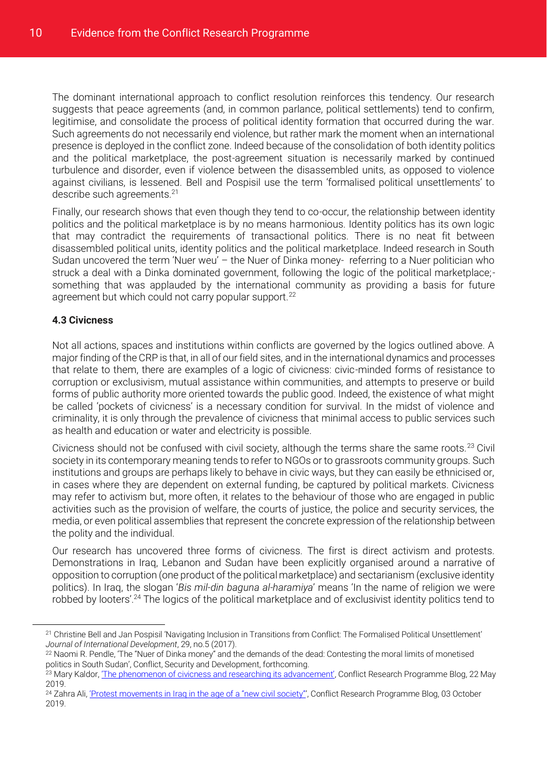The dominant international approach to conflict resolution reinforces this tendency. Our research suggests that peace agreements (and, in common parlance, political settlements) tend to confirm, legitimise, and consolidate the process of political identity formation that occurred during the war. Such agreements do not necessarily end violence, but rather mark the moment when an international presence is deployed in the conflict zone. Indeed because of the consolidation of both identity politics and the political marketplace, the post-agreement situation is necessarily marked by continued turbulence and disorder, even if violence between the disassembled units, as opposed to violence against civilians, is lessened. Bell and Pospisil use the term 'formalised political unsettlements' to describe such agreements.<sup>21</sup>

Finally, our research shows that even though they tend to co-occur, the relationship between identity politics and the political marketplace is by no means harmonious. Identity politics has its own logic that may contradict the requirements of transactional politics. There is no neat fit between disassembled political units, identity politics and the political marketplace. Indeed research in South Sudan uncovered the term 'Nuer weu' – the Nuer of Dinka money- referring to a Nuer politician who struck a deal with a Dinka dominated government, following the logic of the political marketplace; something that was applauded by the international community as providing a basis for future agreement but which could not carry popular support.<sup>22</sup>

#### <span id="page-12-0"></span>**4.3 Civicness**

 $\overline{a}$ 

Not all actions, spaces and institutions within conflicts are governed by the logics outlined above. A major finding of the CRP is that, in all of our field sites, and in the international dynamics and processes that relate to them, there are examples of a logic of civicness: civic-minded forms of resistance to corruption or exclusivism, mutual assistance within communities, and attempts to preserve or build forms of public authority more oriented towards the public good. Indeed, the existence of what might be called 'pockets of civicness' is a necessary condition for survival. In the midst of violence and criminality, it is only through the prevalence of civicness that minimal access to public services such as health and education or water and electricity is possible.

Civicness should not be confused with civil society, although the terms share the same roots.<sup>23</sup> Civil society in its contemporary meaning tends to refer to NGOs or to grassroots community groups. Such institutions and groups are perhaps likely to behave in civic ways, but they can easily be ethnicised or, in cases where they are dependent on external funding, be captured by political markets. Civicness may refer to activism but, more often, it relates to the behaviour of those who are engaged in public activities such as the provision of welfare, the courts of justice, the police and security services, the media, or even political assemblies that represent the concrete expression of the relationship between the polity and the individual.

Our research has uncovered three forms of civicness. The first is direct activism and protests. Demonstrations in Iraq, Lebanon and Sudan have been explicitly organised around a narrative of opposition to corruption (one product of the political marketplace) and sectarianism (exclusive identity politics). In Iraq, the slogan '*Bis mil-din baguna al-haramiya*' means 'In the name of religion we were robbed by looters'.<sup>24</sup> The logics of the political marketplace and of exclusivist identity politics tend to

<sup>21</sup> Christine Bell and Jan Pospisil 'Navigating Inclusion in Transitions from Conflict: The Formalised Political Unsettlement' *Journal of International Development*, 29, no.5 (2017).

<sup>22</sup> Naomi R. Pendle, 'The "Nuer of Dinka money" and the demands of the dead: Contesting the moral limits of monetised politics in South Sudan', Conflict, Security and Development, forthcoming.

<sup>&</sup>lt;sup>23</sup> Mary Kaldor, *The phenomenon of civicness and researching its advancement*, Conflict Research Programme Blog, 22 May 2019.

<sup>24</sup> Zahra Ali, ['Protest movements in Iraq in the age of a "new civil society"',](https://blogs.lse.ac.uk/crp/2019/10/03/protest-movements-in-iraq-in-the-age-of-new-civil-society/) Conflict Research Programme Blog, 03 October 2019.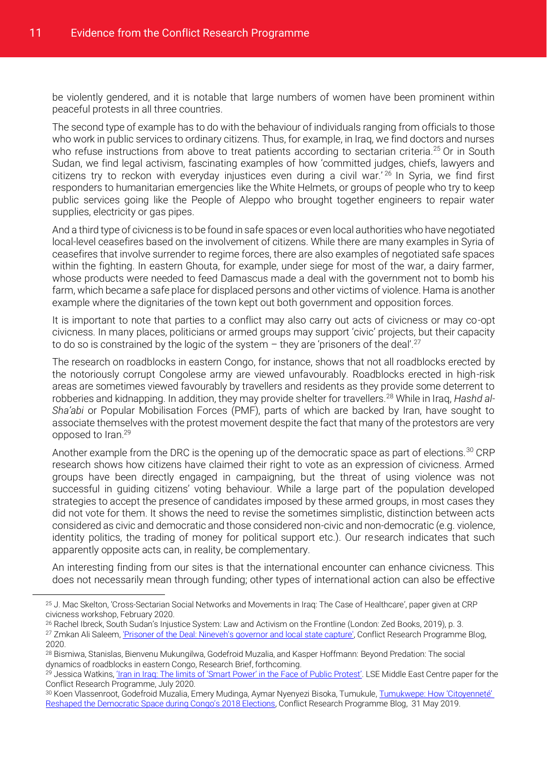be violently gendered, and it is notable that large numbers of women have been prominent within peaceful protests in all three countries.

The second type of example has to do with the behaviour of individuals ranging from officials to those who work in public services to ordinary citizens. Thus, for example, in Iraq, we find doctors and nurses who refuse instructions from above to treat patients according to sectarian criteria.<sup>25</sup> Or in South Sudan, we find legal activism, fascinating examples of how 'committed judges, chiefs, lawyers and citizens try to reckon with everyday injustices even during a civil war.<sup>' 26</sup> In Syria, we find first responders to humanitarian emergencies like the White Helmets, or groups of people who try to keep public services going like the People of Aleppo who brought together engineers to repair water supplies, electricity or gas pipes.

And a third type of civicness is to be found in safe spaces or even local authorities who have negotiated local-level ceasefires based on the involvement of citizens. While there are many examples in Syria of ceasefires that involve surrender to regime forces, there are also examples of negotiated safe spaces within the fighting. In eastern Ghouta, for example, under siege for most of the war, a dairy farmer, whose products were needed to feed Damascus made a deal with the government not to bomb his farm, which became a safe place for displaced persons and other victims of violence. Hama is another example where the dignitaries of the town kept out both government and opposition forces.

It is important to note that parties to a conflict may also carry out acts of civicness or may co-opt civicness. In many places, politicians or armed groups may support 'civic' projects, but their capacity to do so is constrained by the logic of the system  $-$  they are 'prisoners of the deal'.<sup>27</sup>

The research on roadblocks in eastern Congo, for instance, shows that not all roadblocks erected by the notoriously corrupt Congolese army are viewed unfavourably. Roadblocks erected in high-risk areas are sometimes viewed favourably by travellers and residents as they provide some deterrent to robberies and kidnapping. In addition, they may provide shelter for travellers.<sup>28</sup> While in Iraq, Hashd al-*Sha'abi* or Popular Mobilisation Forces (PMF), parts of which are backed by Iran, have sought to associate themselves with the protest movement despite the fact that many of the protestors are very opposed to Iran.<sup>29</sup>

Another example from the DRC is the opening up of the democratic space as part of elections.<sup>30</sup> CRP research shows how citizens have claimed their right to vote as an expression of civicness. Armed groups have been directly engaged in campaigning, but the threat of using violence was not successful in guiding citizens' voting behaviour. While a large part of the population developed strategies to accept the presence of candidates imposed by these armed groups, in most cases they did not vote for them. It shows the need to revise the sometimes simplistic, distinction between acts considered as civic and democratic and those considered non-civic and non-democratic (e.g. violence, identity politics, the trading of money for political support etc.). Our research indicates that such apparently opposite acts can, in reality, be complementary.

An interesting finding from our sites is that the international encounter can enhance civicness. This does not necessarily mean through funding; other types of international action can also be effective

<sup>25</sup> J. Mac Skelton, 'Cross-Sectarian Social Networks and Movements in Iraq: The Case of Healthcare', paper given at CRP civicness workshop, February 2020.

<sup>26</sup> Rachel Ibreck, South Sudan's Injustice System: Law and Activism on the Frontline (London: Zed Books, 2019), p. 3. <sup>27</sup> Zmkan Ali Saleem[, 'Prisoner of the Deal: Nineveh's governor and local state capture',](https://blogs.lse.ac.uk/crp/2020/03/12/prisoner-of-the-deal-ninevehs-governor-and-local-state-capture/) Conflict Research Programme Blog, 2020.

<sup>28</sup> Bismiwa, Stanislas, Bienvenu Mukungilwa, Godefroid Muzalia, and Kasper Hoffmann: Beyond Predation: The social dynamics of roadblocks in eastern Congo, Research Brief, forthcoming.

<sup>&</sup>lt;sup>29</sup> Jessica Watkins, *'Iran in Irag: The limits of 'Smart Power' in the Face of Public Protest'*. LSE Middle East Centre paper for the Conflict Research Programme, July 2020.

<sup>30</sup> Koen Vlassenroot, Godefroid Muzalia, Emery Mudinga, Aymar Nyenyezi Bisoka, Tumukule, [Tumukwepe: How 'Citoyenneté'](https://blogs.lse.ac.uk/crp/2019/05/31/citoyennete-democratic-space-congo-2018-elections/)  [Reshaped the Democratic Space during Congo's 2018 Elections](https://blogs.lse.ac.uk/crp/2019/05/31/citoyennete-democratic-space-congo-2018-elections/), Conflict Research Programme Blog, 31 May 2019.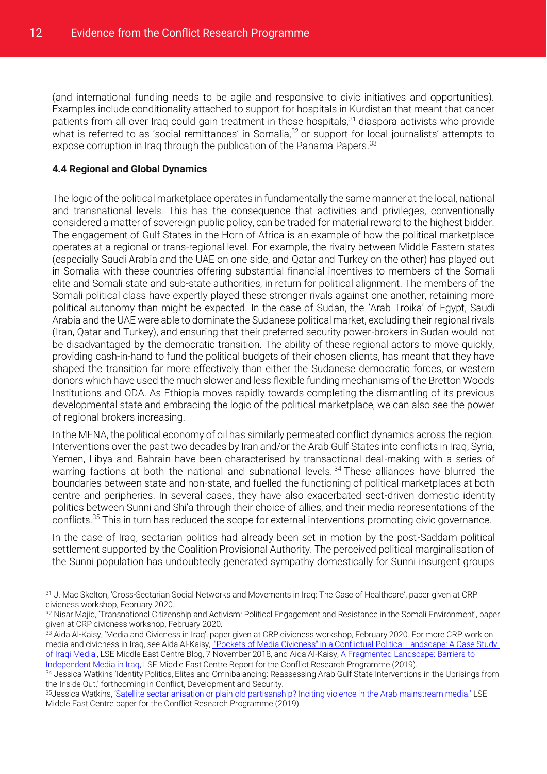(and international funding needs to be agile and responsive to civic initiatives and opportunities). Examples include conditionality attached to support for hospitals in Kurdistan that meant that cancer patients from all over Iraq could gain treatment in those hospitals,<sup>31</sup> diaspora activists who provide what is referred to as 'social remittances' in Somalia,<sup>32</sup> or support for local journalists' attempts to expose corruption in Iraq through the publication of the Panama Papers.<sup>33</sup>

#### <span id="page-14-0"></span>**4.4 Regional and Global Dynamics**

 $\overline{a}$ 

The logic of the political marketplace operates in fundamentally the same manner at the local, national and transnational levels. This has the consequence that activities and privileges, conventionally considered a matter of sovereign public policy, can be traded for material reward to the highest bidder. The engagement of Gulf States in the Horn of Africa is an example of how the political marketplace operates at a regional or trans-regional level. For example, the rivalry between Middle Eastern states (especially Saudi Arabia and the UAE on one side, and Qatar and Turkey on the other) has played out in Somalia with these countries offering substantial financial incentives to members of the Somali elite and Somali state and sub-state authorities, in return for political alignment. The members of the Somali political class have expertly played these stronger rivals against one another, retaining more political autonomy than might be expected. In the case of Sudan, the 'Arab Troika' of Egypt, Saudi Arabia and the UAE were able to dominate the Sudanese political market, excluding their regional rivals (Iran, Qatar and Turkey), and ensuring that their preferred security power-brokers in Sudan would not be disadvantaged by the democratic transition. The ability of these regional actors to move quickly, providing cash-in-hand to fund the political budgets of their chosen clients, has meant that they have shaped the transition far more effectively than either the Sudanese democratic forces, or western donors which have used the much slower and less flexible funding mechanisms of the Bretton Woods Institutions and ODA. As Ethiopia moves rapidly towards completing the dismantling of its previous developmental state and embracing the logic of the political marketplace, we can also see the power of regional brokers increasing.

In the MENA, the political economy of oil has similarly permeated conflict dynamics across the region. Interventions over the past two decades by Iran and/or the Arab Gulf States into conflicts in Iraq, Syria, Yemen, Libya and Bahrain have been characterised by transactional deal-making with a series of warring factions at both the national and subnational levels.<sup>34</sup> These alliances have blurred the boundaries between state and non-state, and fuelled the functioning of political marketplaces at both centre and peripheries. In several cases, they have also exacerbated sect-driven domestic identity politics between Sunni and Shi'a through their choice of allies, and their media representations of the conflicts.<sup>35</sup> This in turn has reduced the scope for external interventions promoting civic governance.

In the case of Iraq, sectarian politics had already been set in motion by the post-Saddam political settlement supported by the Coalition Provisional Authority. The perceived political marginalisation of the Sunni population has undoubtedly generated sympathy domestically for Sunni insurgent groups

<sup>31</sup> J. Mac Skelton, 'Cross-Sectarian Social Networks and Movements in Iraq: The Case of Healthcare', paper given at CRP civicness workshop, February 2020.

<sup>32</sup> Nisar Majid, 'Transnational Citizenship and Activism: Political Engagement and Resistance in the Somali Environment', paper given at CRP civicness workshop, February 2020.

<sup>33</sup> Aida Al-Kaisy, 'Media and Civicness in Iraq', paper given at CRP civicness workshop, February 2020. For more CRP work on media and civicness in Iraq, see Aida Al-Kaisy, "Pockets of Media Civicness" in a Conflictual Political Landscape: A Case Study [of Iraqi Media',](https://blogs.lse.ac.uk/mec/2018/11/07/pockets-of-media-civicness-in-a-conflictual-political-landscape-a-case-study-of-iraqi-media/) LSE Middle East Centre Blog, 7 November 2018, and Aida Al-Kaisy, A Fragmented Landscape: Barriers to [Independent Media in Iraq,](http://eprints.lse.ac.uk/100991/1/a_fragmented_landscape.pdf) LSE Middle East Centre Report for the Conflict Research Programme (2019).

<sup>34</sup> Jessica Watkins 'Identity Politics, Elites and Omnibalancing: Reassessing Arab Gulf State Interventions in the Uprisings from the Inside Out,' forthcoming in Conflict, Development and Security.

<sup>35</sup>Jessica Watkins, ['Satellite sectarianisation or plain old partisanship? Inciting violence in the Arab mainstream media.'](http://eprints.lse.ac.uk/100536/1/Watkins_J_Satellite_Sectarianisation_Author_2019.pdf) LSE Middle East Centre paper for the Conflict Research Programme (2019).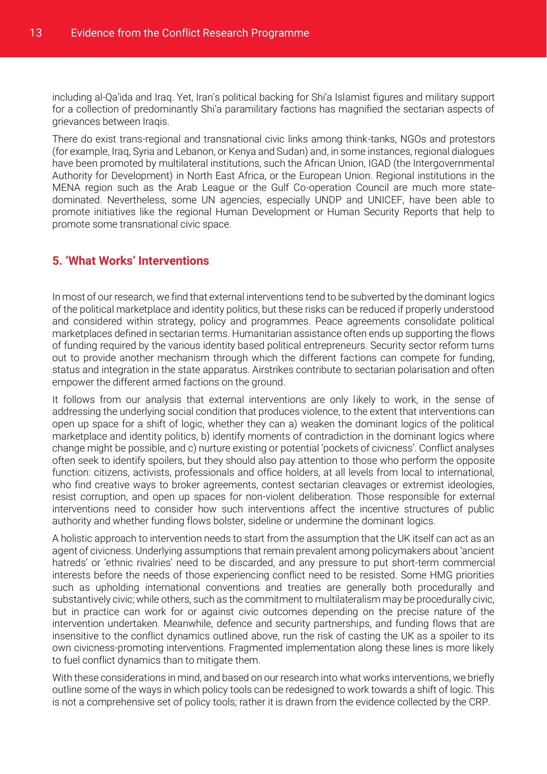including al-Qa'ida and Iraq. Yet, Iran's political backing for Shi'a Islamist figures and military support for a collection of predominantly Shi'a paramilitary factions has magnified the sectarian aspects of grievances between Iraqis.

There do exist trans-regional and transnational civic links among think-tanks, NGOs and protestors (for example, Iraq, Syria and Lebanon, or Kenya and Sudan) and, in some instances, regional dialogues have been promoted by multilateral institutions, such the African Union, IGAD (the Intergovernmental Authority for Development) in North East Africa, or the European Union. Regional institutions in the MENA region such as the Arab League or the Gulf Co-operation Council are much more statedominated. Nevertheless, some UN agencies, especially UNDP and UNICEF, have been able to promote initiatives like the regional Human Development or Human Security Reports that help to promote some transnational civic space.

#### <span id="page-15-0"></span>**5. 'What Works' Interventions**

<span id="page-15-1"></span>In most of our research, we find that external interventions tend to be subverted by the dominant logics of the political marketplace and identity politics, but these risks can be reduced if properly understood and considered within strategy, policy and programmes. Peace agreements consolidate political marketplaces defined in sectarian terms. Humanitarian assistance often ends up supporting the flows of funding required by the various identity based political entrepreneurs. Security sector reform turns out to provide another mechanism through which the different factions can compete for funding, status and integration in the state apparatus. Airstrikes contribute to sectarian polarisation and often empower the different armed factions on the ground.

It follows from our analysis that external interventions are only likely to work, in the sense of addressing the underlying social condition that produces violence, to the extent that interventions can open up space for a shift of logic, whether they can a) weaken the dominant logics of the political marketplace and identity politics, b) identify moments of contradiction in the dominant logics where change might be possible, and c) nurture existing or potential 'pockets of civicness'. Conflict analyses often seek to identify spoilers, but they should also pay attention to those who perform the opposite function: citizens, activists, professionals and office holders, at all levels from local to international, who find creative ways to broker agreements, contest sectarian cleavages or extremist ideologies, resist corruption, and open up spaces for non-violent deliberation. Those responsible for external interventions need to consider how such interventions affect the incentive structures of public authority and whether funding flows bolster, sideline or undermine the dominant logics.

A holistic approach to intervention needs to start from the assumption that the UK itself can act as an agent of civicness. Underlying assumptions that remain prevalent among policymakers about 'ancient hatreds' or 'ethnic rivalries' need to be discarded, and any pressure to put short-term commercial interests before the needs of those experiencing conflict need to be resisted. Some HMG priorities such as upholding international conventions and treaties are generally both procedurally and substantively civic; while others, such as the commitment to multilateralism may be procedurally civic, but in practice can work for or against civic outcomes depending on the precise nature of the intervention undertaken. Meanwhile, defence and security partnerships, and funding flows that are insensitive to the conflict dynamics outlined above, run the risk of casting the UK as a spoiler to its own civicness-promoting interventions. Fragmented implementation along these lines is more likely to fuel conflict dynamics than to mitigate them.

With these considerations in mind, and based on our research into what works interventions, we briefly outline some of the ways in which policy tools can be redesigned to work towards a shift of logic. This is not a comprehensive set of policy tools; rather it is drawn from the evidence collected by the CRP.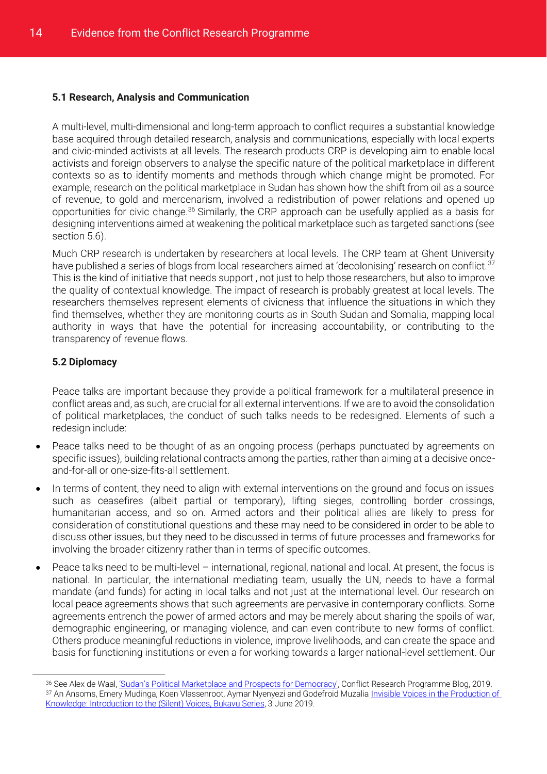#### <span id="page-16-0"></span>**5.1 Research, Analysis and Communication**

A multi-level, multi-dimensional and long-term approach to conflict requires a substantial knowledge base acquired through detailed research, analysis and communications, especially with local experts and civic-minded activists at all levels. The research products CRP is developing aim to enable local activists and foreign observers to analyse the specific nature of the political marketplace in different contexts so as to identify moments and methods through which change might be promoted. For example, research on the political marketplace in Sudan has shown how the shift from oil as a source of revenue, to gold and mercenarism, involved a redistribution of power relations and opened up opportunities for civic change.<sup>36</sup> Similarly, the CRP approach can be usefully applied as a basis for designing interventions aimed at weakening the political marketplace such as targeted sanctions (see section 5.6).

Much CRP research is undertaken by researchers at local levels. The CRP team at Ghent University have published a series of blogs from local researchers aimed at 'decolonising' research on conflict.<sup>37</sup> This is the kind of initiative that needs support , not just to help those researchers, but also to improve the quality of contextual knowledge. The impact of research is probably greatest at local levels. The researchers themselves represent elements of civicness that influence the situations in which they find themselves, whether they are monitoring courts as in South Sudan and Somalia, mapping local authority in ways that have the potential for increasing accountability, or contributing to the transparency of revenue flows.

#### <span id="page-16-1"></span>**5.2 Diplomacy**

 $\overline{a}$ 

Peace talks are important because they provide a political framework for a multilateral presence in conflict areas and, as such, are crucial for all external interventions. If we are to avoid the consolidation of political marketplaces, the conduct of such talks needs to be redesigned. Elements of such a redesign include:

- Peace talks need to be thought of as an ongoing process (perhaps punctuated by agreements on specific issues), building relational contracts among the parties, rather than aiming at a decisive onceand-for-all or one-size-fits-all settlement.
- In terms of content, they need to align with external interventions on the ground and focus on issues such as ceasefires (albeit partial or temporary), lifting sieges, controlling border crossings, humanitarian access, and so on. Armed actors and their political allies are likely to press for consideration of constitutional questions and these may need to be considered in order to be able to discuss other issues, but they need to be discussed in terms of future processes and frameworks for involving the broader citizenry rather than in terms of specific outcomes.
- Peace talks need to be multi-level international, regional, national and local. At present, the focus is national. In particular, the international mediating team, usually the UN, needs to have a formal mandate (and funds) for acting in local talks and not just at the international level. Our research on local peace agreements shows that such agreements are pervasive in contemporary conflicts. Some agreements entrench the power of armed actors and may be merely about sharing the spoils of war, demographic engineering, or managing violence, and can even contribute to new forms of conflict. Others produce meaningful reductions in violence, improve livelihoods, and can create the space and basis for functioning institutions or even a for working towards a larger national-level settlement. Our

<sup>36</sup> See Alex de Waal, ['Sudan's Political Marketplace and Prospects for Democracy'](https://blogs.lse.ac.uk/crp/2019/08/01/sudans-political-marketplace-and-prospects-for-democracy/), Conflict Research Programme Blog, 2019. <sup>37</sup> An Ansoms, Emery Mudinga, Koen Vlassenroot, Aymar Nyenyezi and Godefroid Muzali[a Invisible Voices in the Production of](https://africasacountry.com/2019/06/invisible-voices-in-the-production-of-knowledge)  [Knowledge: Introduction to the \(Silent\) Voices, Bukavu Series,](https://africasacountry.com/2019/06/invisible-voices-in-the-production-of-knowledge) 3 June 2019.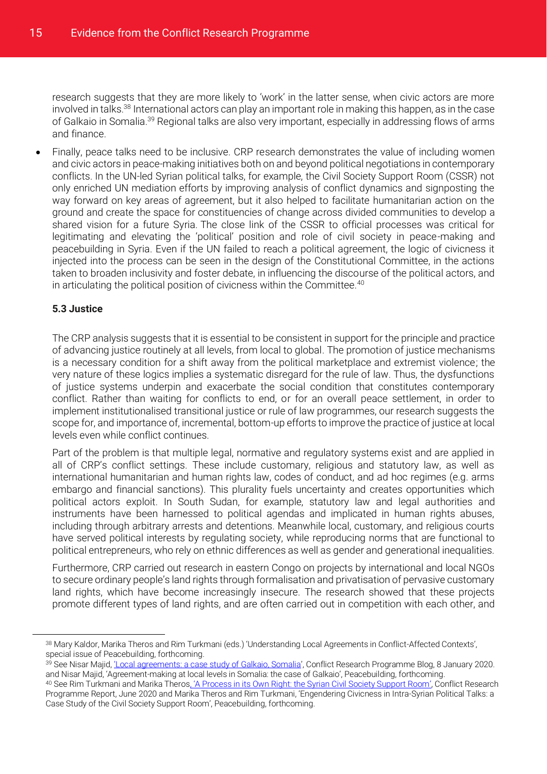research suggests that they are more likely to 'work' in the latter sense, when civic actors are more involved in talks.<sup>38</sup> International actors can play an important role in making this happen, as in the case of Galkaio in Somalia.<sup>39</sup> Regional talks are also very important, especially in addressing flows of arms and finance.

 Finally, peace talks need to be inclusive. CRP research demonstrates the value of including women and civic actors in peace-making initiatives both on and beyond political negotiations in contemporary conflicts. In the UN-led Syrian political talks, for example, the Civil Society Support Room (CSSR) not only enriched UN mediation efforts by improving analysis of conflict dynamics and signposting the way forward on key areas of agreement, but it also helped to facilitate humanitarian action on the ground and create the space for constituencies of change across divided communities to develop a shared vision for a future Syria. The close link of the CSSR to official processes was critical for legitimating and elevating the 'political' position and role of civil society in peace-making and peacebuilding in Syria. Even if the UN failed to reach a political agreement, the logic of civicness it injected into the process can be seen in the design of the Constitutional Committee, in the actions taken to broaden inclusivity and foster debate, in influencing the discourse of the political actors, and in articulating the political position of civicness within the Committee.<sup>40</sup>

#### <span id="page-17-0"></span>**5.3 Justice**

 $\overline{a}$ 

The CRP analysis suggests that it is essential to be consistent in support for the principle and practice of advancing justice routinely at all levels, from local to global. The promotion of justice mechanisms is a necessary condition for a shift away from the political marketplace and extremist violence; the very nature of these logics implies a systematic disregard for the rule of law. Thus, the dysfunctions of justice systems underpin and exacerbate the social condition that constitutes contemporary conflict. Rather than waiting for conflicts to end, or for an overall peace settlement, in order to implement institutionalised transitional justice or rule of law programmes, our research suggests the scope for, and importance of, incremental, bottom-up efforts to improve the practice of justice at local levels even while conflict continues.

Part of the problem is that multiple legal, normative and regulatory systems exist and are applied in all of CRP's conflict settings. These include customary, religious and statutory law, as well as international humanitarian and human rights law, codes of conduct, and ad hoc regimes (e.g. arms embargo and financial sanctions). This plurality fuels uncertainty and creates opportunities which political actors exploit. In South Sudan, for example, statutory law and legal authorities and instruments have been harnessed to political agendas and implicated in human rights abuses, including through arbitrary arrests and detentions. Meanwhile local, customary, and religious courts have served political interests by regulating society, while reproducing norms that are functional to political entrepreneurs, who rely on ethnic differences as well as gender and generational inequalities.

Furthermore, CRP carried out research in eastern Congo on projects by international and local NGOs to secure ordinary people's land rights through formalisation and privatisation of pervasive customary land rights, which have become increasingly insecure. The research showed that these projects promote different types of land rights, and are often carried out in competition with each other, and

40 See Rim Turkmani and Marika Theros[, 'A Process in its Own Right: the Syrian Civil Society Support Room'](http://eprints.lse.ac.uk/101034/), Conflict Research Programme Report, June 2020 and Marika Theros and Rim Turkmani, 'Engendering Civicness in Intra-Syrian Political Talks: a Case Study of the Civil Society Support Room', Peacebuilding, forthcoming.

<sup>38</sup> Mary Kaldor, Marika Theros and Rim Turkmani (eds.) 'Understanding Local Agreements in Conflict-Affected Contexts', special issue of Peacebuilding, forthcoming.

<sup>39</sup> See Nisar Majid, *'Local agreements: a case study of Galkaio*, Somalia', Conflict Research Programme Blog, 8 January 2020. and Nisar Majid, 'Agreement-making at local levels in Somalia: the case of Galkaio', Peacebuilding, forthcoming.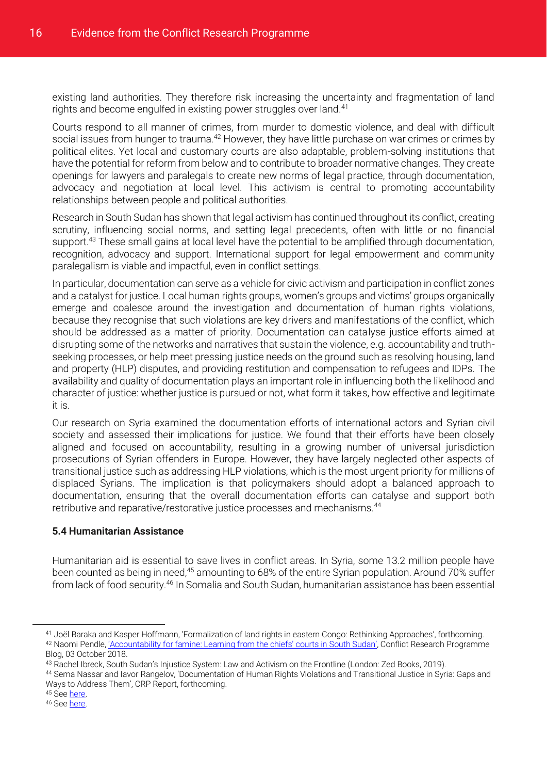existing land authorities. They therefore risk increasing the uncertainty and fragmentation of land rights and become engulfed in existing power struggles over land.<sup>41</sup>

Courts respond to all manner of crimes, from murder to domestic violence, and deal with difficult social issues from hunger to trauma.<sup>42</sup> However, they have little purchase on war crimes or crimes by political elites. Yet local and customary courts are also adaptable, problem-solving institutions that have the potential for reform from below and to contribute to broader normative changes. They create openings for lawyers and paralegals to create new norms of legal practice, through documentation, advocacy and negotiation at local level. This activism is central to promoting accountability relationships between people and political authorities.

Research in South Sudan has shown that legal activism has continued throughout its conflict, creating scrutiny, influencing social norms, and setting legal precedents, often with little or no financial support.<sup>43</sup> These small gains at local level have the potential to be amplified through documentation, recognition, advocacy and support. International support for legal empowerment and community paralegalism is viable and impactful, even in conflict settings.

In particular, documentation can serve as a vehicle for civic activism and participation in conflict zones and a catalyst for justice. Local human rights groups, women's groups and victims' groups organically emerge and coalesce around the investigation and documentation of human rights violations, because they recognise that such violations are key drivers and manifestations of the conflict, which should be addressed as a matter of priority. Documentation can catalyse justice efforts aimed at disrupting some of the networks and narratives that sustain the violence, e.g. accountability and truthseeking processes, or help meet pressing justice needs on the ground such as resolving housing, land and property (HLP) disputes, and providing restitution and compensation to refugees and IDPs. The availability and quality of documentation plays an important role in influencing both the likelihood and character of justice: whether justice is pursued or not, what form it takes, how effective and legitimate it is.

Our research on Syria examined the documentation efforts of international actors and Syrian civil society and assessed their implications for justice. We found that their efforts have been closely aligned and focused on accountability, resulting in a growing number of universal jurisdiction prosecutions of Syrian offenders in Europe. However, they have largely neglected other aspects of transitional justice such as addressing HLP violations, which is the most urgent priority for millions of displaced Syrians. The implication is that policymakers should adopt a balanced approach to documentation, ensuring that the overall documentation efforts can catalyse and support both retributive and reparative/restorative justice processes and mechanisms.<sup>44</sup>

#### <span id="page-18-0"></span>**5.4 Humanitarian Assistance**

Humanitarian aid is essential to save lives in conflict areas. In Syria, some 13.2 million people have been counted as being in need,<sup>45</sup> amounting to 68% of the entire Syrian population. Around 70% suffer from lack of food security.<sup>46</sup> In Somalia and South Sudan, humanitarian assistance has been essential

<sup>44</sup> Sema Nassar and Iavor Rangelov, 'Documentation of Human Rights Violations and Transitional Justice in Syria: Gaps and Ways to Address Them', CRP Report, forthcoming.

<sup>45</sup> Se[e here.](https://hno-syria.org/#sector-needs)

 $\overline{a}$ 

<sup>41</sup> Joël Baraka and Kasper Hoffmann, 'Formalization of land rights in eastern Congo: Rethinking Approaches', forthcoming. 42 Naomi Pendle, ['Accountability for famine: Learning from the chiefs' courts in South Sudan'](https://blogs.lse.ac.uk/crp/2018/10/03/accountability-for-famine-chief-court-ssudan/), Conflict Research Programme

Blog, 03 October 2018.

<sup>43</sup> Rachel Ibreck, South Sudan's Injustice System: Law and Activism on the Frontline (London: Zed Books, 2019).

<sup>46</sup> Se[e here.](http://www.fao.org/fileadmin/user_upload/emergencies/docs/FAO%20Syrian%20Arab%20Republic_Sit%20Rep_June%202020.pdf)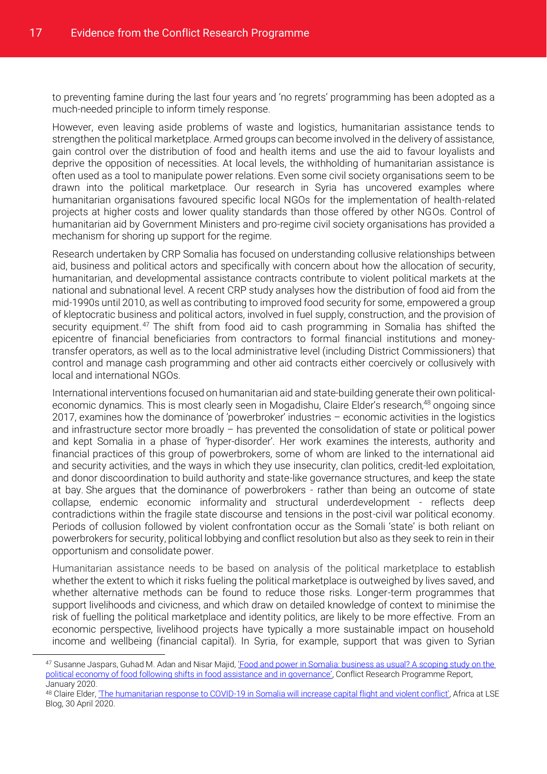to preventing famine during the last four years and 'no regrets' programming has been adopted as a much-needed principle to inform timely response.

However, even leaving aside problems of waste and logistics, humanitarian assistance tends to strengthen the political marketplace. Armed groups can become involved in the delivery of assistance, gain control over the distribution of food and health items and use the aid to favour loyalists and deprive the opposition of necessities. At local levels, the withholding of humanitarian assistance is often used as a tool to manipulate power relations. Even some civil society organisations seem to be drawn into the political marketplace. Our research in Syria has uncovered examples where humanitarian organisations favoured specific local NGOs for the implementation of health-related projects at higher costs and lower quality standards than those offered by other NGOs. Control of humanitarian aid by Government Ministers and pro-regime civil society organisations has provided a mechanism for shoring up support for the regime.

Research undertaken by CRP Somalia has focused on understanding collusive relationships between aid, business and political actors and specifically with concern about how the allocation of security, humanitarian, and developmental assistance contracts contribute to violent political markets at the national and subnational level. A recent CRP study analyses how the distribution of food aid from the mid-1990s until 2010, as well as contributing to improved food security for some, empowered a group of kleptocratic business and political actors, involved in fuel supply, construction, and the provision of security equipment.<sup>47</sup> The shift from food aid to cash programming in Somalia has shifted the epicentre of financial beneficiaries from contractors to formal financial institutions and moneytransfer operators, as well as to the local administrative level (including District Commissioners) that control and manage cash programming and other aid contracts either coercively or collusively with local and international NGOs.

International interventions focused on humanitarian aid and state-building generate their own politicaleconomic dynamics. This is most clearly seen in Mogadishu, Claire Elder's research,<sup>48</sup> ongoing since 2017, examines how the dominance of 'powerbroker' industries – economic activities in the logistics and infrastructure sector more broadly – has prevented the consolidation of state or political power and kept Somalia in a phase of 'hyper-disorder'. Her work examines the interests, authority and financial practices of this group of powerbrokers, some of whom are linked to the international aid and security activities, and the ways in which they use insecurity, clan politics, credit-led exploitation, and donor discoordination to build authority and state-like governance structures, and keep the state at bay. She argues that the dominance of powerbrokers - rather than being an outcome of state collapse, endemic economic informality and structural underdevelopment - reflects deep contradictions within the fragile state discourse and tensions in the post-civil war political economy. Periods of collusion followed by violent confrontation occur as the Somali 'state' is both reliant on powerbrokers for security, political lobbying and conflict resolution but also as they seek to rein in their opportunism and consolidate power.

Humanitarian assistance needs to be based on analysis of the political marketplace to establish whether the extent to which it risks fueling the political marketplace is outweighed by lives saved, and whether alternative methods can be found to reduce those risks. Longer-term programmes that support livelihoods and civicness, and which draw on detailed knowledge of context to minimise the risk of fuelling the political marketplace and identity politics, are likely to be more effective. From an economic perspective, livelihood projects have typically a more sustainable impact on household income and wellbeing (financial capital). In Syria, for example, support that was given to Syrian

<sup>47</sup> Susanne Jaspars, Guhad M. Adan and Nisar Majid, 'Food and power in Somalia: business as usual? A scoping study on the [political economy of food following shifts in food assistance and in governance'](http://eprints.lse.ac.uk/103138/7/Food_and_Power_in_Somalia_business_as_usual_v5.pdf), Conflict Research Programme Report, January 2020.

<sup>48</sup> Claire Elder, ['The humanitarian response to COVID-19 in Somalia will increase capital flight and violent conflict',](https://blogs.lse.ac.uk/africaatlse/2020/04/30/humanitarian-response-covid-19-somalia-capital-flight-debt-relief-violence/) Africa at LSE Blog, 30 April 2020.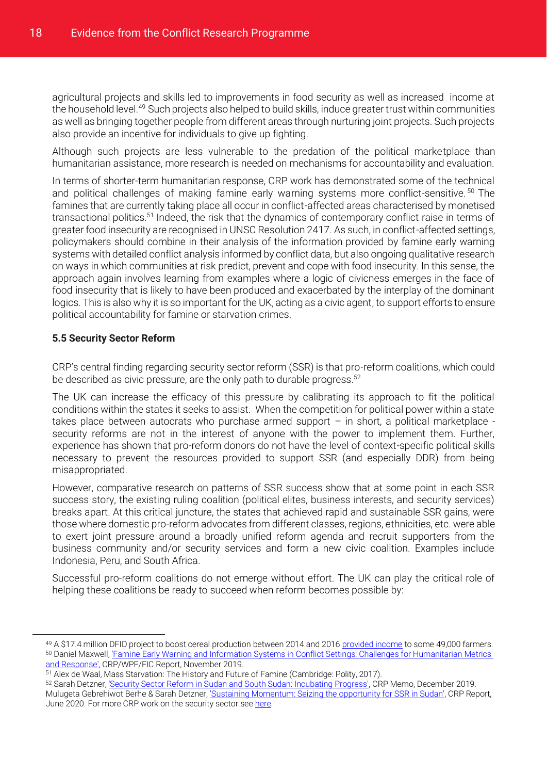agricultural projects and skills led to improvements in food security as well as increased income at the household level.<sup>49</sup> Such projects also helped to build skills, induce greater trust within communities as well as bringing together people from different areas through nurturing joint projects. Such projects also provide an incentive for individuals to give up fighting.

Although such projects are less vulnerable to the predation of the political marketplace than humanitarian assistance, more research is needed on mechanisms for accountability and evaluation.

In terms of shorter-term humanitarian response, CRP work has demonstrated some of the technical and political challenges of making famine early warning systems more conflict-sensitive.<sup>50</sup> The famines that are currently taking place all occur in conflict-affected areas characterised by monetised transactional politics.<sup>51</sup> Indeed, the risk that the dynamics of contemporary conflict raise in terms of greater food insecurity are recognised in UNSC Resolution 2417. As such, in conflict-affected settings, policymakers should combine in their analysis of the information provided by famine early warning systems with detailed conflict analysis informed by conflict data, but also ongoing qualitative research on ways in which communities at risk predict, prevent and cope with food insecurity. In this sense, the approach again involves learning from examples where a logic of civicness emerges in the face of food insecurity that is likely to have been produced and exacerbated by the interplay of the dominant logics. This is also why it is so important for the UK, acting as a civic agent, to support efforts to ensure political accountability for famine or starvation crimes.

#### <span id="page-20-0"></span>**5.5 Security Sector Reform**

CRP's central finding regarding security sector reform (SSR) is that pro-reform coalitions, which could be described as civic pressure, are the only path to durable progress.<sup>52</sup>

The UK can increase the efficacy of this pressure by calibrating its approach to fit the political conditions within the states it seeks to assist. When the competition for political power within a state takes place between autocrats who purchase armed support – in short, a political marketplace security reforms are not in the interest of anyone with the power to implement them. Further, experience has shown that pro-reform donors do not have the level of context-specific political skills necessary to prevent the resources provided to support SSR (and especially DDR) from being misappropriated.

However, comparative research on patterns of SSR success show that at some point in each SSR success story, the existing ruling coalition (political elites, business interests, and security services) breaks apart. At this critical juncture, the states that achieved rapid and sustainable SSR gains, were those where domestic pro-reform advocates from different classes, regions, ethnicities, etc. were able to exert joint pressure around a broadly unified reform agenda and recruit supporters from the business community and/or security services and form a new civic coalition. Examples include Indonesia, Peru, and South Africa.

Successful pro-reform coalitions do not emerge without effort. The UK can play the critical role of helping these coalitions be ready to succeed when reform becomes possible by:

[and Response',](http://eprints.lse.ac.uk/102836/1/Maxwell_famine_early_warning_and_information_systems_published.pdf) CRP/WPF/FIC Report, November 2019.

 $\overline{a}$ 

```
51 Alex de Waal, Mass Starvation: The History and Future of Famine (Cambridge: Polity, 2017).
```
<sup>49</sup> A \$17.4 million DFID project to boost cereal production between 2014 and 201[6 provided income](http://www.fao.org/in-action/supporting-syrian-farmers-cereal-crop-production/en/) to some 49,000 farmers. 50 Daniel Maxwell, 'Famine Early Warning and Information Systems in Conflict Settings: Challenges for Humanitarian Metrics

<sup>52</sup> Sarah Detzner[, 'Security Sector Reform in Sudan and South Sudan: Incubating Progress',](http://www.lse.ac.uk/international-development/Assets/Documents/ccs-research-unit/Conflict-Research-Programme/crp-memos/SSR-Sudans-Incubating-Progress-final.pdf) CRP Memo, December 2019. Mulugeta Gebrehiwot Berhe & Sarah Detzner[, 'Sustaining Momentum: Seizing the opportunity for SSR in Sudan',](http://eprints.lse.ac.uk/105171/1/Gebrehiwot_Berhe_Detzner_Sustaining_Momentum_SSR_in_Sudan_2020.pdf) CRP Report, June 2020. For more CRP work on the security sector se[e here.](http://www.lse.ac.uk/international-development/conflict-and-civil-society/conflict-research-programme/security-interventions)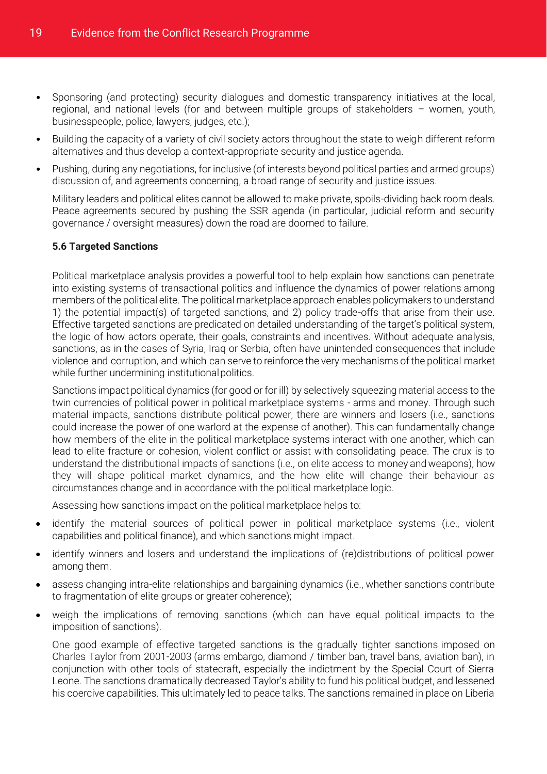- Sponsoring (and protecting) security dialogues and domestic transparency initiatives at the local, regional, and national levels (for and between multiple groups of stakeholders – women, youth, businesspeople, police, lawyers, judges, etc.);
- Building the capacity of a variety of civil society actors throughout the state to weigh different reform alternatives and thus develop a context-appropriate security and justice agenda.
- Pushing, during any negotiations, for inclusive (of interests beyond political parties and armed groups) discussion of, and agreements concerning, a broad range of security and justice issues.

Military leaders and political elites cannot be allowed to make private, spoils-dividing back room deals. Peace agreements secured by pushing the SSR agenda (in particular, judicial reform and security governance / oversight measures) down the road are doomed to failure.

#### <span id="page-21-0"></span>**5.6 Targeted Sanctions**

Political marketplace analysis provides a powerful tool to help explain how sanctions can penetrate into existing systems of transactional politics and influence the dynamics of power relations among members of the political elite. The political marketplace approach enables policymakers to understand 1) the potential impact(s) of targeted sanctions, and 2) policy trade-offs that arise from their use. Effective targeted sanctions are predicated on detailed understanding of the target's political system, the logic of how actors operate, their goals, constraints and incentives. Without adequate analysis, sanctions, as in the cases of Syria, Iraq or Serbia, often have unintended consequences that include violence and corruption, and which can serve to reinforce the very mechanisms of the political market while further undermining institutional politics.

Sanctions impact political dynamics (for good or for ill) by selectively squeezing material access to the twin currencies of political power in political marketplace systems - arms and money. Through such material impacts, sanctions distribute political power; there are winners and losers (i.e., sanctions could increase the power of one warlord at the expense of another). This can fundamentally change how members of the elite in the political marketplace systems interact with one another, which can lead to elite fracture or cohesion, violent conflict or assist with consolidating peace. The crux is to understand the distributional impacts of sanctions (i.e., on elite access to money and weapons), how they will shape political market dynamics, and the how elite will change their behaviour as circumstances change and in accordance with the political marketplace logic.

Assessing how sanctions impact on the political marketplace helps to:

- identify the material sources of political power in political marketplace systems (i.e., violent capabilities and political finance), and which sanctions might impact.
- identify winners and losers and understand the implications of (re)distributions of political power among them.
- assess changing intra-elite relationships and bargaining dynamics (i.e., whether sanctions contribute to fragmentation of elite groups or greater coherence);
- weigh the implications of removing sanctions (which can have equal political impacts to the imposition of sanctions).

One good example of effective targeted sanctions is the gradually tighter sanctions imposed on Charles Taylor from 2001-2003 (arms embargo, diamond / timber ban, travel bans, aviation ban), in conjunction with other tools of statecraft, especially the indictment by the Special Court of Sierra Leone. The sanctions dramatically decreased Taylor's ability to fund his political budget, and lessened his coercive capabilities. This ultimately led to peace talks. The sanctions remained in place on Liberia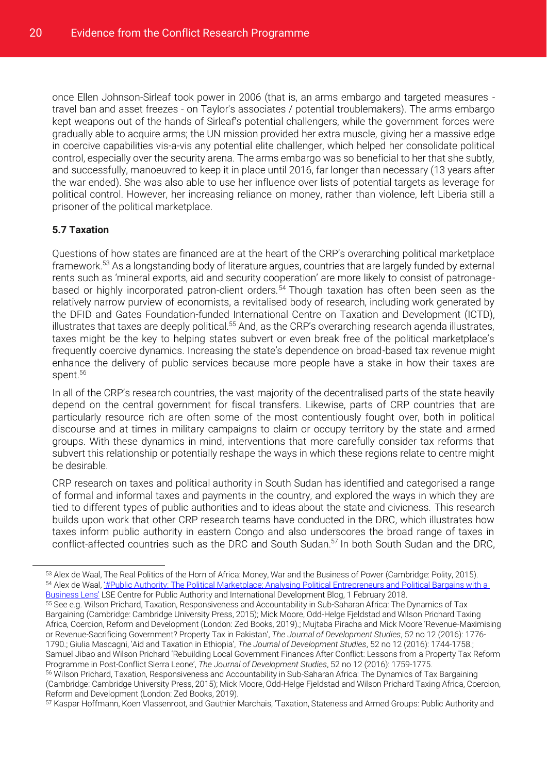once Ellen Johnson-Sirleaf took power in 2006 (that is, an arms embargo and targeted measures travel ban and asset freezes - on Taylor's associates / potential troublemakers). The arms embargo kept weapons out of the hands of Sirleaf's potential challengers, while the government forces were gradually able to acquire arms; the UN mission provided her extra muscle, giving her a massive edge in coercive capabilities vis-a-vis any potential elite challenger, which helped her consolidate political control, especially over the security arena. The arms embargo was so beneficial to her that she subtly, and successfully, manoeuvred to keep it in place until 2016, far longer than necessary (13 years after the war ended). She was also able to use her influence over lists of potential targets as leverage for political control. However, her increasing reliance on money, rather than violence, left Liberia still a prisoner of the political marketplace.

#### <span id="page-22-0"></span>**5.7 Taxation**

 $\overline{a}$ 

Questions of how states are financed are at the heart of the CRP's overarching political marketplace framework.<sup>53</sup> As a longstanding body of literature argues, countries that are largely funded by external rents such as 'mineral exports, aid and security cooperation' are more likely to consist of patronagebased or highly incorporated patron-client orders.<sup>54</sup> Though taxation has often been seen as the relatively narrow purview of economists, a revitalised body of research, including work generated by the DFID and Gates Foundation-funded International Centre on Taxation and Development (ICTD), illustrates that taxes are deeply political.<sup>55</sup> And, as the CRP's overarching research agenda illustrates, taxes might be the key to helping states subvert or even break free of the political marketplace's frequently coercive dynamics. Increasing the state's dependence on broad-based tax revenue might enhance the delivery of public services because more people have a stake in how their taxes are spent.<sup>56</sup>

In all of the CRP's research countries, the vast majority of the decentralised parts of the state heavily depend on the central government for fiscal transfers. Likewise, parts of CRP countries that are particularly resource rich are often some of the most contentiously fought over, both in political discourse and at times in military campaigns to claim or occupy territory by the state and armed groups. With these dynamics in mind, interventions that more carefully consider tax reforms that subvert this relationship or potentially reshape the ways in which these regions relate to centre might be desirable.

CRP research on taxes and political authority in South Sudan has identified and categorised a range of formal and informal taxes and payments in the country, and explored the ways in which they are tied to different types of public authorities and to ideas about the state and civicness. This research builds upon work that other CRP research teams have conducted in the DRC, which illustrates how taxes inform public authority in eastern Congo and also underscores the broad range of taxes in conflict-affected countries such as the DRC and South Sudan.<sup>57</sup> In both South Sudan and the DRC,

<sup>57</sup> Kaspar Hoffmann, Koen Vlassenroot, and Gauthier Marchais, 'Taxation, Stateness and Armed Groups: Public Authority and

<sup>53</sup> Alex de Waal, The Real Politics of the Horn of Africa: Money, War and the Business of Power (Cambridge: Polity, 2015). 54 Alex de Waal, '*#Public Authority: The Political Marketplace: Analysing Political Entrepreneurs and Political Bargains with a* [Business Lens'](https://blogs.lse.ac.uk/africaatlse/2018/02/01/publicauthority-the-political-marketplace-analyzing-political-entrepreneurs-and-political-bargaining-with-a-business-lens/) LSE Centre for Public Authority and International Development Blog, 1 February 2018.

<sup>55</sup> See e.g. Wilson Prichard, Taxation, Responsiveness and Accountability in Sub-Saharan Africa: The Dynamics of Tax Bargaining (Cambridge: Cambridge University Press, 2015); Mick Moore, Odd-Helge Fjeldstad and Wilson Prichard Taxing Africa, Coercion, Reform and Development (London: Zed Books, 2019).; Mujtaba Piracha and Mick Moore 'Revenue-Maximising or Revenue-Sacrificing Government? Property Tax in Pakistan', *The Journal of Development Studies*, 52 no 12 (2016): 1776- 1790.; Giulia Mascagni, 'Aid and Taxation in Ethiopia', *The Journal of Development Studies*, 52 no 12 (2016): 1744-1758.; Samuel Jibao and Wilson Prichard 'Rebuilding Local Government Finances After Conflict: Lessons from a Property Tax Reform Programme in Post-Conflict Sierra Leone', *The Journal of Development Studies*, 52 no 12 (2016): 1759-1775. <sup>56</sup> Wilson Prichard, Taxation, Responsiveness and Accountability in Sub-Saharan Africa: The Dynamics of Tax Bargaining (Cambridge: Cambridge University Press, 2015); Mick Moore, Odd-Helge Fjeldstad and Wilson Prichard Taxing Africa, Coercion, Reform and Development (London: Zed Books, 2019).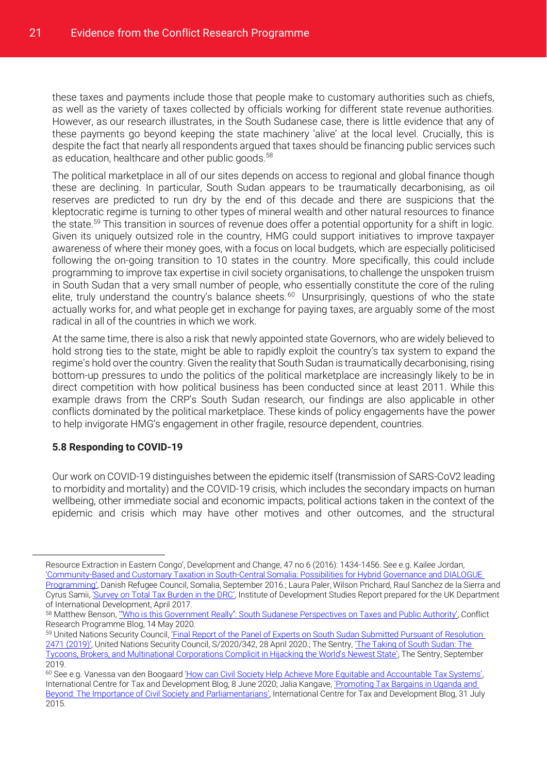these taxes and payments include those that people make to customary authorities such as chiefs, as well as the variety of taxes collected by officials working for different state revenue authorities. However, as our research illustrates, in the South Sudanese case, there is little evidence that any of these payments go beyond keeping the state machinery 'alive' at the local level. Crucially, this is despite the fact that nearly all respondents argued that taxes should be financing public services such as education, healthcare and other public goods.<sup>58</sup>

The political marketplace in all of our sites depends on access to regional and global finance though these are declining. In particular, South Sudan appears to be traumatically decarbonising, as oil reserves are predicted to run dry by the end of this decade and there are suspicions that the kleptocratic regime is turning to other types of mineral wealth and other natural resources to finance the state.<sup>59</sup> This transition in sources of revenue does offer a potential opportunity for a shift in logic. Given its uniquely outsized role in the country, HMG could support initiatives to improve taxpayer awareness of where their money goes, with a focus on local budgets, which are especially politicised following the on-going transition to 10 states in the country. More specifically, this could include programming to improve tax expertise in civil society organisations, to challenge the unspoken truism in South Sudan that a very small number of people, who essentially constitute the core of the ruling elite, truly understand the country's balance sheets.<sup>60</sup> Unsurprisingly, questions of who the state actually works for, and what people get in exchange for paying taxes, are arguably some of the most radical in all of the countries in which we work.

At the same time, there is also a risk that newly appointed state Governors, who are widely believed to hold strong ties to the state, might be able to rapidly exploit the country's tax system to expand the regime's hold over the country. Given the reality that South Sudan is traumatically decarbonising, rising bottom-up pressures to undo the politics of the political marketplace are increasingly likely to be in direct competition with how political business has been conducted since at least 2011. While this example draws from the CRP's South Sudan research, our findings are also applicable in other conflicts dominated by the political marketplace. These kinds of policy engagements have the power to help invigorate HMG's engagement in other fragile, resource dependent, countries.

#### <span id="page-23-0"></span>**5.8 Responding to COVID-19**

Our work on COVID-19 distinguishes between the epidemic itself (transmission of SARS-CoV2 leading to morbidity and mortality) and the COVID-19 crisis, which includes the secondary impacts on human wellbeing, other immediate social and economic impacts, political actions taken in the context of the epidemic and crisis which may have other motives and other outcomes, and the structural

Resource Extraction in Eastern Congo', Development and Change, 47 no 6 (2016): 1434-1456. See e.g. Kailee Jordan, 'Community[-Based and Customary Taxation in South-Central Somalia: Possibilities for Hybrid Governance and DIALOGUE](https://www.ictd.ac/publication/community-based-and-customary-taxation-in-south-central-somalia-possibilities-for-hybrid-governance-and-dialogue-programming/)  [Programming'](https://www.ictd.ac/publication/community-based-and-customary-taxation-in-south-central-somalia-possibilities-for-hybrid-governance-and-dialogue-programming/), Danish Refugee Council, Somalia, September 2016.; Laura Paler, Wilson Prichard, Raul Sanchez de la Sierra and Cyrus Samii, ['Survey on Total Tax Burden in the DRC'](https://www.ictd.ac/publication/survey-on-total-tax-burden-in-the-drc/), Institute of Development Studies Report prepared for the UK Department of International Development, April 2017.

<sup>58</sup> Matthew Benson, "Who is this Government Really": South Sudanese Perspectives on Taxes and Public Authority', Conflict Research Programme Blog, 14 May 2020.

<sup>59</sup> United Nations Security Council, 'Final Report of the Panel of Experts on South Sudan Submitted Pursuant of Resolution [2471 \(2019\)'](https://www.undocs.org/S/2020/342), United Nations Security Council, S/2020/342, 28 April 2020.; The Sentry, ['The Taking of South Sudan: The](https://cdn.thesentry.org/wp-content/uploads/2019/09/TakingOfSouthSudan-Sept2019-TheSentry.pdf)  [Tycoons, Brokers, and Multinational Corporations Complicit in Hijacking the World's Newest State'](https://cdn.thesentry.org/wp-content/uploads/2019/09/TakingOfSouthSudan-Sept2019-TheSentry.pdf), The Sentry, September 2019.

<sup>60</sup> See e.g. Vanessa van den Boogaard ['How can Civil Society Help Achieve More Equitable and Accountable Tax Systems'](https://www.ictd.ac/blog/how-civil-society-achieve-equitable-accountable-tax-systems/), International Centre for Tax and Development Blog, 8 June 2020; Jalia Kangave, ['Promoting Tax Bargains in Uganda and](https://www.ictd.ac/blog/promoting-tax-bargains-in-uganda-and-beyond-the-importance-of-civil-society-and-parliamentarians/)  [Beyond: The Importance of Civil Society and Parliamentarians'](https://www.ictd.ac/blog/promoting-tax-bargains-in-uganda-and-beyond-the-importance-of-civil-society-and-parliamentarians/), International Centre for Tax and Development Blog, 31 July 2015.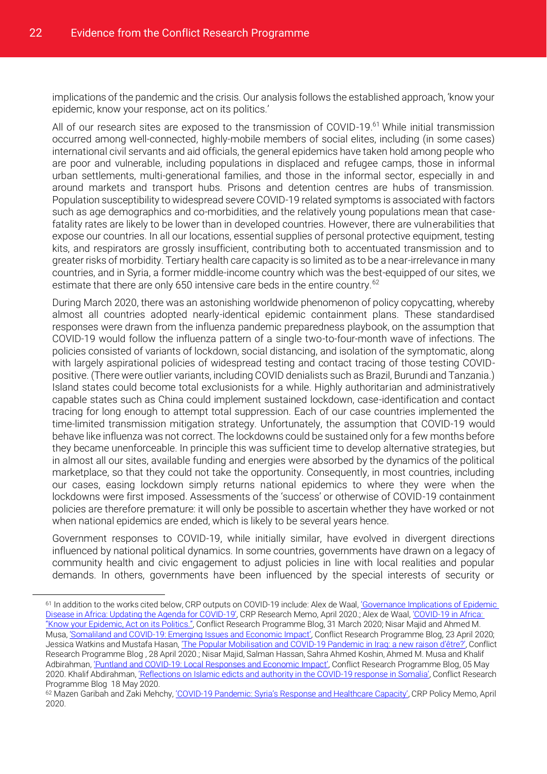implications of the pandemic and the crisis. Our analysis follows the established approach, 'know your epidemic, know your response, act on its politics.'

All of our research sites are exposed to the transmission of COVID-19.<sup>61</sup> While initial transmission occurred among well-connected, highly-mobile members of social elites, including (in some cases) international civil servants and aid officials, the general epidemics have taken hold among people who are poor and vulnerable, including populations in displaced and refugee camps, those in informal urban settlements, multi-generational families, and those in the informal sector, especially in and around markets and transport hubs. Prisons and detention centres are hubs of transmission. Population susceptibility to widespread severe COVID-19 related symptoms is associated with factors such as age demographics and co-morbidities, and the relatively young populations mean that casefatality rates are likely to be lower than in developed countries. However, there are vulnerabilities that expose our countries. In all our locations, essential supplies of personal protective equipment, testing kits, and respirators are grossly insufficient, contributing both to accentuated transmission and to greater risks of morbidity. Tertiary health care capacity is so limited as to be a near-irrelevance in many countries, and in Syria, a former middle-income country which was the best-equipped of our sites, we estimate that there are only 650 intensive care beds in the entire country.<sup>62</sup>

During March 2020, there was an astonishing worldwide phenomenon of policy copycatting, whereby almost all countries adopted nearly-identical epidemic containment plans. These standardised responses were drawn from the influenza pandemic preparedness playbook, on the assumption that COVID-19 would follow the influenza pattern of a single two-to-four-month wave of infections. The policies consisted of variants of lockdown, social distancing, and isolation of the symptomatic, along with largely aspirational policies of widespread testing and contact tracing of those testing COVIDpositive. (There were outlier variants, including COVID denialists such as Brazil, Burundi and Tanzania.) Island states could become total exclusionists for a while. Highly authoritarian and administratively capable states such as China could implement sustained lockdown, case-identification and contact tracing for long enough to attempt total suppression. Each of our case countries implemented the time-limited transmission mitigation strategy. Unfortunately, the assumption that COVID-19 would behave like influenza was not correct. The lockdowns could be sustained only for a few months before they became unenforceable. In principle this was sufficient time to develop alternative strategies, but in almost all our sites, available funding and energies were absorbed by the dynamics of the political marketplace, so that they could not take the opportunity. Consequently, in most countries, including our cases, easing lockdown simply returns national epidemics to where they were when the lockdowns were first imposed. Assessments of the 'success' or otherwise of COVID-19 containment policies are therefore premature: it will only be possible to ascertain whether they have worked or not when national epidemics are ended, which is likely to be several years hence.

Government responses to COVID-19, while initially similar, have evolved in divergent directions influenced by national political dynamics. In some countries, governments have drawn on a legacy of community health and civic engagement to adjust policies in line with local realities and popular demands. In others, governments have been influenced by the special interests of security or

<sup>61</sup> In addition to the works cited below, CRP outputs on COVID-19 include: Alex de Waal, 'Governance Implications of Epidemic [Disease in Africa: Updating the Agenda for COVID-19](http://eprints.lse.ac.uk/104471/)', CRP Research Memo, April 2020.; Alex de Waal, '[COVID-19](https://blogs.lse.ac.uk/crp/2020/03/31/covid-19-in-africa-know-your-epidemic-act-on-its-politics/) in Africa: ["Know your Epidemic, Act on its Politics."](https://blogs.lse.ac.uk/crp/2020/03/31/covid-19-in-africa-know-your-epidemic-act-on-its-politics/), Conflict Research Programme Blog, 31 March 2020; Nisar Majid and Ahmed M. Musa, 'Somaliland and COVID-19[: Emerging Issues and Economic Impact'](https://blogs.lse.ac.uk/crp/2020/04/23/somaliland-and-covid-19-emerging-issues-and-economic-impact/), Conflict Research Programme Blog, 23 April 2020; Jessica Watkins and Mustafa Hasan, ['The Popular Mobilisation and](https://blogs.lse.ac.uk/crp/2020/04/28/the-popular-mobilisation-and-covid-19-pandemic-in-iraq-a-new-raison-detre/) COVID-19 Pandemic in Iraq: a new raison d'être?', Conflict Research Programme Blog , 28 April 2020.; Nisar Majid, Salman Hassan, Sahra Ahmed Koshin, Ahmed M. Musa and Khalif Adbirahman, 'Puntland and COVID-19[: Local Responses and Economic Impact'](https://blogs.lse.ac.uk/crp/2020/05/05/puntland-and-covid-19-local-responses-and-economic-impact/), Conflict Research Programme Blog, 05 May 2020. Khalif Abdirahman, ['Reflections on Islamic edicts and authority in the](https://blogs.lse.ac.uk/crp/2020/05/18/reflections-on-islamic-edicts-and-authority-in-the-covid-19-response-in-somalia/) COVID-19 response in Somalia', Conflict Research Programme Blog 18 May 2020.

<sup>62</sup> Mazen Garibah and Zaki Mehchy, 'COVID-19 P[andemic: Syria's Response and Healthcare Capacity'](http://eprints.lse.ac.uk/103841/), CRP Policy Memo, April 2020.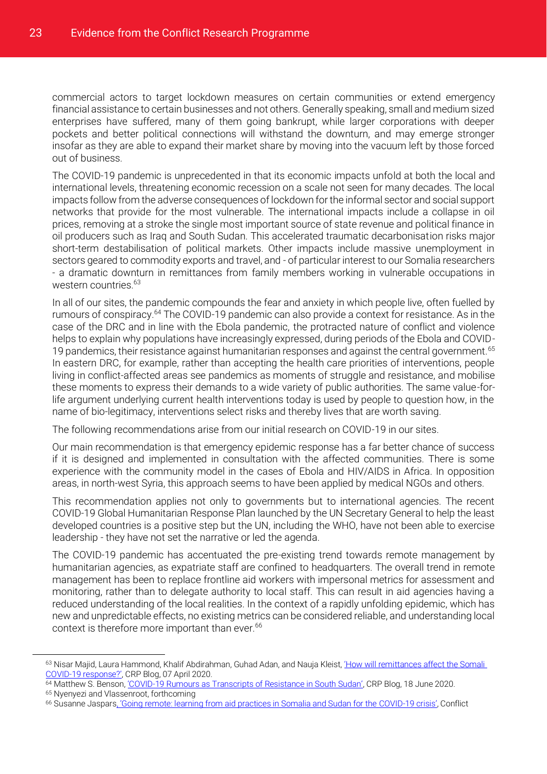commercial actors to target lockdown measures on certain communities or extend emergency financial assistance to certain businesses and not others. Generally speaking, small and medium sized enterprises have suffered, many of them going bankrupt, while larger corporations with deeper pockets and better political connections will withstand the downturn, and may emerge stronger insofar as they are able to expand their market share by moving into the vacuum left by those forced out of business.

The COVID-19 pandemic is unprecedented in that its economic impacts unfold at both the local and international levels, threatening economic recession on a scale not seen for many decades. The local impacts follow from the adverse consequences of lockdown for the informal sector and social support networks that provide for the most vulnerable. The international impacts include a collapse in oil prices, removing at a stroke the single most important source of state revenue and political finance in oil producers such as Iraq and South Sudan. This accelerated traumatic decarbonisation risks major short-term destabilisation of political markets. Other impacts include massive unemployment in sectors geared to commodity exports and travel, and - of particular interest to our Somalia researchers - a dramatic downturn in remittances from family members working in vulnerable occupations in western countries.<sup>63</sup>

In all of our sites, the pandemic compounds the fear and anxiety in which people live, often fuelled by rumours of conspiracy.<sup>64</sup> The COVID-19 pandemic can also provide a context for resistance. As in the case of the DRC and in line with the Ebola pandemic, the protracted nature of conflict and violence helps to explain why populations have increasingly expressed, during periods of the Ebola and COVID-19 pandemics, their resistance against humanitarian responses and against the central government.<sup>65</sup> In eastern DRC, for example, rather than accepting the health care priorities of interventions, people living in conflict-affected areas see pandemics as moments of struggle and resistance, and mobilise these moments to express their demands to a wide variety of public authorities. The same value-forlife argument underlying current health interventions today is used by people to question how, in the name of bio-legitimacy, interventions select risks and thereby lives that are worth saving.

The following recommendations arise from our initial research on COVID-19 in our sites.

Our main recommendation is that emergency epidemic response has a far better chance of success if it is designed and implemented in consultation with the affected communities. There is some experience with the community model in the cases of Ebola and HIV/AIDS in Africa. In opposition areas, in north-west Syria, this approach seems to have been applied by medical NGOs and others.

This recommendation applies not only to governments but to international agencies. The recent COVID-19 Global Humanitarian Response Plan launched by the UN Secretary General to help the least developed countries is a positive step but the UN, including the WHO, have not been able to exercise leadership - they have not set the narrative or led the agenda.

The COVID-19 pandemic has accentuated the pre-existing trend towards remote management by humanitarian agencies, as expatriate staff are confined to headquarters. The overall trend in remote management has been to replace frontline aid workers with impersonal metrics for assessment and monitoring, rather than to delegate authority to local staff. This can result in aid agencies having a reduced understanding of the local realities. In the context of a rapidly unfolding epidemic, which has new and unpredictable effects, no existing metrics can be considered reliable, and understanding local context is therefore more important than ever.<sup>66</sup>

<sup>63</sup> Nisar Majid, Laura Hammond, Khalif Abdirahman, Guhad Adan, and Nauja Kleist, 'How will remittances affect the Somali COVID-19 [response?'](https://blogs.lse.ac.uk/crp/2020/04/07/remittances-affect-the-somali-covid-19-response/), CRP Blog, 07 April 2020.

<sup>64</sup> Matthew S. Benson, 'COVID-19 [Rumours as Transcripts of Resistance in South Sudan'](https://blogs.lse.ac.uk/crp/2020/06/18/covid-19-rumours-as-transcripts-of-resistance-in-south-sudan/), CRP Blog, 18 June 2020.

<sup>65</sup> Nyenyezi and Vlassenroot, forthcoming

<sup>66</sup> Susanne Jaspars, 'Goi[ng remote: learning from aid practices in Somalia and Sudan for the COVID-19](https://blogs.lse.ac.uk/crp/2020/04/17/going-remote-aid-practices-in-somalia-and-sudan-covid-19/) crisis', Conflict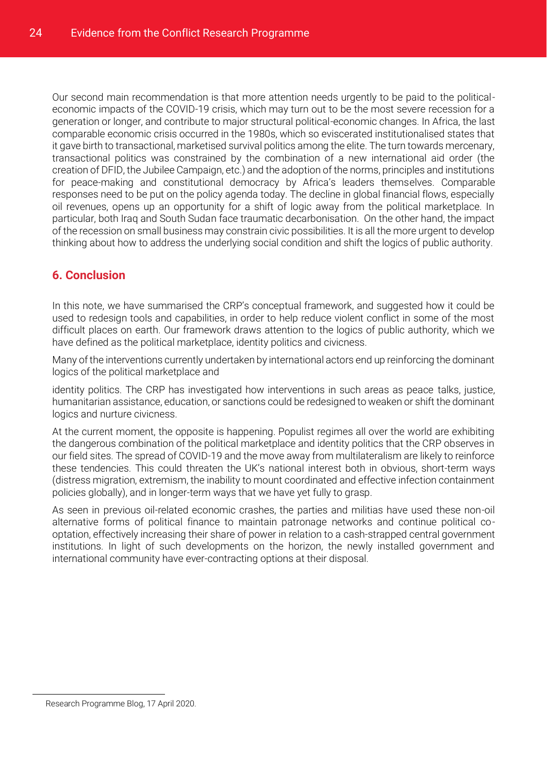Our second main recommendation is that more attention needs urgently to be paid to the politicaleconomic impacts of the COVID-19 crisis, which may turn out to be the most severe recession for a generation or longer, and contribute to major structural political-economic changes. In Africa, the last comparable economic crisis occurred in the 1980s, which so eviscerated institutionalised states that it gave birth to transactional, marketised survival politics among the elite. The turn towards mercenary, transactional politics was constrained by the combination of a new international aid order (the creation of DFID, the Jubilee Campaign, etc.) and the adoption of the norms, principles and institutions for peace-making and constitutional democracy by Africa's leaders themselves. Comparable responses need to be put on the policy agenda today. The decline in global financial flows, especially oil revenues, opens up an opportunity for a shift of logic away from the political marketplace. In particular, both Iraq and South Sudan face traumatic decarbonisation. On the other hand, the impact of the recession on small business may constrain civic possibilities. It is all the more urgent to develop thinking about how to address the underlying social condition and shift the logics of public authority.

#### <span id="page-26-0"></span>**6. Conclusion**

In this note, we have summarised the CRP's conceptual framework, and suggested how it could be used to redesign tools and capabilities, in order to help reduce violent conflict in some of the most difficult places on earth. Our framework draws attention to the logics of public authority, which we have defined as the political marketplace, identity politics and civicness.

Many of the interventions currently undertaken by international actors end up reinforcing the dominant logics of the political marketplace and

identity politics. The CRP has investigated how interventions in such areas as peace talks, justice, humanitarian assistance, education, or sanctions could be redesigned to weaken or shift the dominant logics and nurture civicness.

At the current moment, the opposite is happening. Populist regimes all over the world are exhibiting the dangerous combination of the political marketplace and identity politics that the CRP observes in our field sites. The spread of COVID-19 and the move away from multilateralism are likely to reinforce these tendencies. This could threaten the UK's national interest both in obvious, short-term ways (distress migration, extremism, the inability to mount coordinated and effective infection containment policies globally), and in longer-term ways that we have yet fully to grasp.

As seen in previous oil-related economic crashes, the parties and militias have used these non-oil alternative forms of political finance to maintain patronage networks and continue political cooptation, effectively increasing their share of power in relation to a cash-strapped central government institutions. In light of such developments on the horizon, the newly installed government and international community have ever-contracting options at their disposal.

Research Programme Blog, 17 April 2020.